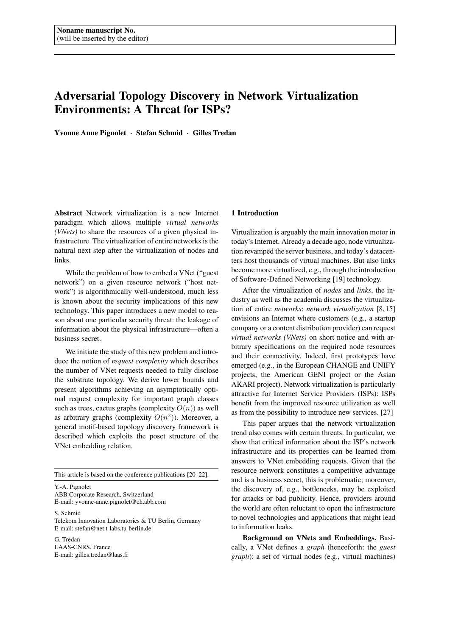# Adversarial Topology Discovery in Network Virtualization Environments: A Threat for ISPs?

Yvonne Anne Pignolet · Stefan Schmid · Gilles Tredan

Abstract Network virtualization is a new Internet paradigm which allows multiple *virtual networks (VNets)* to share the resources of a given physical infrastructure. The virtualization of entire networks is the natural next step after the virtualization of nodes and links.

While the problem of how to embed a VNet ("guest network") on a given resource network ("host network") is algorithmically well-understood, much less is known about the security implications of this new technology. This paper introduces a new model to reason about one particular security threat: the leakage of information about the physical infrastructure—often a business secret.

We initiate the study of this new problem and introduce the notion of *request complexity* which describes the number of VNet requests needed to fully disclose the substrate topology. We derive lower bounds and present algorithms achieving an asymptotically optimal request complexity for important graph classes such as trees, cactus graphs (complexity  $O(n)$ ) as well as arbitrary graphs (complexity  $O(n^2)$ ). Moreover, a general motif-based topology discovery framework is described which exploits the poset structure of the VNet embedding relation.

This article is based on the conference publications [20–22].

Y.-A. Pignolet ABB Corporate Research, Switzerland E-mail: yvonne-anne.pignolet@ch.abb.com

S. Schmid Telekom Innovation Laboratories & TU Berlin, Germany E-mail: stefan@net.t-labs.tu-berlin.de

G. Tredan LAAS-CNRS, France E-mail: gilles.tredan@laas.fr

## 1 Introduction

Virtualization is arguably the main innovation motor in today's Internet. Already a decade ago, node virtualization revamped the server business, and today's datacenters host thousands of virtual machines. But also links become more virtualized, e.g., through the introduction of Software-Defined Networking [19] technology.

After the virtualization of *nodes* and *links*, the industry as well as the academia discusses the virtualization of entire *networks*: *network virtualization* [8, 15] envisions an Internet where customers (e.g., a startup company or a content distribution provider) can request *virtual networks (VNets)* on short notice and with arbitrary specifications on the required node resources and their connectivity. Indeed, first prototypes have emerged (e.g., in the European CHANGE and UNIFY projects, the American GENI project or the Asian AKARI project). Network virtualization is particularly attractive for Internet Service Providers (ISPs): ISPs benefit from the improved resource utilization as well as from the possibility to introduce new services. [27]

This paper argues that the network virtualization trend also comes with certain threats. In particular, we show that critical information about the ISP's network infrastructure and its properties can be learned from answers to VNet embedding requests. Given that the resource network constitutes a competitive advantage and is a business secret, this is problematic; moreover, the discovery of, e.g., bottlenecks, may be exploited for attacks or bad publicity. Hence, providers around the world are often reluctant to open the infrastructure to novel technologies and applications that might lead to information leaks.

Background on VNets and Embeddings. Basically, a VNet defines a *graph* (henceforth: the *guest graph*): a set of virtual nodes (e.g., virtual machines)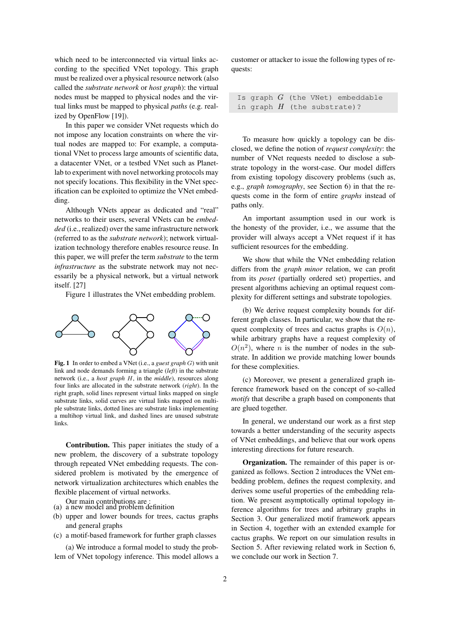which need to be interconnected via virtual links according to the specified VNet topology. This graph must be realized over a physical resource network (also called the *substrate network* or *host graph*): the virtual nodes must be mapped to physical nodes and the virtual links must be mapped to physical *paths* (e.g. realized by OpenFlow [19]).

In this paper we consider VNet requests which do not impose any location constraints on where the virtual nodes are mapped to: For example, a computational VNet to process large amounts of scientific data, a datacenter VNet, or a testbed VNet such as Planetlab to experiment with novel networking protocols may not specify locations. This flexibility in the VNet specification can be exploited to optimize the VNet embedding.

Although VNets appear as dedicated and "real" networks to their users, several VNets can be *embedded* (i.e., realized) over the same infrastructure network (referred to as the *substrate network*); network virtualization technology therefore enables resource reuse. In this paper, we will prefer the term *substrate* to the term *infrastructure* as the substrate network may not necessarily be a physical network, but a virtual network itself. [27]

Figure 1 illustrates the VNet embedding problem.



Fig. 1 In order to embed a VNet (i.e., a *guest graph* G) with unit link and node demands forming a triangle (*left*) in the substrate network (i.e., a *host graph* H, in the *middle*), resources along four links are allocated in the substrate network (*right*). In the right graph, solid lines represent virtual links mapped on single substrate links, solid curves are virtual links mapped on multiple substrate links, dotted lines are substrate links implementing a multihop virtual link, and dashed lines are unused substrate links.

Contribution. This paper initiates the study of a new problem, the discovery of a substrate topology through repeated VNet embedding requests. The considered problem is motivated by the emergence of network virtualization architectures which enables the flexible placement of virtual networks.

- Our main contributions are : (a) a new model and problem definition
- (b) upper and lower bounds for trees, cactus graphs and general graphs
- (c) a motif-based framework for further graph classes

(a) We introduce a formal model to study the problem of VNet topology inference. This model allows a customer or attacker to issue the following types of requests:

|  |  | Is graph $G$ (the VNet) embeddable |
|--|--|------------------------------------|
|  |  | in graph $H$ (the substrate)?      |

To measure how quickly a topology can be disclosed, we define the notion of *request complexity*: the number of VNet requests needed to disclose a substrate topology in the worst-case. Our model differs from existing topology discovery problems (such as, e.g., *graph tomography*, see Section 6) in that the requests come in the form of entire *graphs* instead of paths only.

An important assumption used in our work is the honesty of the provider, i.e., we assume that the provider will always accept a VNet request if it has sufficient resources for the embedding.

We show that while the VNet embedding relation differs from the *graph minor* relation, we can profit from its *poset* (partially ordered set) properties, and present algorithms achieving an optimal request complexity for different settings and substrate topologies.

(b) We derive request complexity bounds for different graph classes. In particular, we show that the request complexity of trees and cactus graphs is  $O(n)$ , while arbitrary graphs have a request complexity of  $O(n^2)$ , where *n* is the number of nodes in the substrate. In addition we provide matching lower bounds for these complexities.

(c) Moreover, we present a generalized graph inference framework based on the concept of so-called *motifs* that describe a graph based on components that are glued together.

In general, we understand our work as a first step towards a better understanding of the security aspects of VNet embeddings, and believe that our work opens interesting directions for future research.

Organization. The remainder of this paper is organized as follows. Section 2 introduces the VNet embedding problem, defines the request complexity, and derives some useful properties of the embedding relation. We present asymptotically optimal topology inference algorithms for trees and arbitrary graphs in Section 3. Our generalized motif framework appears in Section 4, together with an extended example for cactus graphs. We report on our simulation results in Section 5. After reviewing related work in Section 6, we conclude our work in Section 7.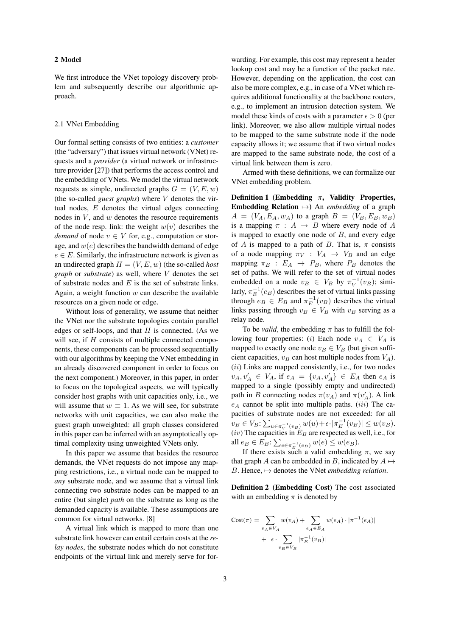## 2 Model

We first introduce the VNet topology discovery problem and subsequently describe our algorithmic approach.

#### 2.1 VNet Embedding

Our formal setting consists of two entities: a *customer* (the "adversary") that issues virtual network (VNet) requests and a *provider* (a virtual network or infrastructure provider [27]) that performs the access control and the embedding of VNets. We model the virtual network requests as simple, undirected graphs  $G = (V, E, w)$ (the so-called *guest graphs*) where V denotes the virtual nodes, E denotes the virtual edges connecting nodes in  $V$ , and  $w$  denotes the resource requirements of the node resp. link: the weight  $w(v)$  describes the *demand* of node  $v \in V$  for, e.g., computation or storage, and  $w(e)$  describes the bandwidth demand of edge  $e \in E$ . Similarly, the infrastructure network is given as an undirected graph  $H = (V, E, w)$  (the so-called *host graph* or *substrate*) as well, where V denotes the set of substrate nodes and  $E$  is the set of substrate links. Again, a weight function  $w$  can describe the available resources on a given node or edge.

Without loss of generality, we assume that neither the VNet nor the substrate topologies contain parallel edges or self-loops, and that  $H$  is connected. (As we will see, if H consists of multiple connected components, these components can be processed sequentially with our algorithms by keeping the VNet embedding in an already discovered component in order to focus on the next component.) Moreover, in this paper, in order to focus on the topological aspects, we will typically consider host graphs with unit capacities only, i.e., we will assume that  $w \equiv 1$ . As we will see, for substrate networks with unit capacities, we can also make the guest graph unweighted: all graph classes considered in this paper can be inferred with an asymptotically optimal complexity using unweighted VNets only.

In this paper we assume that besides the resource demands, the VNet requests do not impose any mapping restrictions, i.e., a virtual node can be mapped to *any* substrate node, and we assume that a virtual link connecting two substrate nodes can be mapped to an entire (but single) *path* on the substrate as long as the demanded capacity is available. These assumptions are common for virtual networks. [8]

A virtual link which is mapped to more than one substrate link however can entail certain costs at the *relay nodes*, the substrate nodes which do not constitute endpoints of the virtual link and merely serve for forwarding. For example, this cost may represent a header lookup cost and may be a function of the packet rate. However, depending on the application, the cost can also be more complex, e.g., in case of a VNet which requires additional functionality at the backbone routers, e.g., to implement an intrusion detection system. We model these kinds of costs with a parameter  $\epsilon > 0$  (per link). Moreover, we also allow multiple virtual nodes to be mapped to the same substrate node if the node capacity allows it; we assume that if two virtual nodes are mapped to the same substrate node, the cost of a virtual link between them is zero.

Armed with these definitions, we can formalize our VNet embedding problem.

Definition 1 (Embedding  $\pi$ , Validity Properties, Embedding Relation 7→) An *embedding* of a graph  $A = (V_A, E_A, w_A)$  to a graph  $B = (V_B, E_B, w_B)$ is a mapping  $\pi$  :  $A \rightarrow B$  where every node of A is mapped to exactly one node of  $B$ , and every edge of A is mapped to a path of B. That is,  $\pi$  consists of a node mapping  $\pi_V : V_A \to V_B$  and an edge mapping  $\pi_E : E_A \rightarrow P_B$ , where  $P_B$  denotes the set of paths. We will refer to the set of virtual nodes embedded on a node  $v_B \in V_B$  by  $\pi_V^{-1}(v_B)$ ; similarly,  $\pi_E^{-1}(e_B)$  describes the set of virtual links passing through  $e_B \in E_B$  and  $\pi_E^{-1}(v_B)$  describes the virtual links passing through  $v_B \in V_B$  with  $v_B$  serving as a relay node.

To be *valid*, the embedding  $\pi$  has to fulfill the following four properties: (i) Each node  $v_A \in V_A$  is mapped to exactly one node  $v_B \in V_B$  (but given sufficient capacities,  $v_B$  can host multiple nodes from  $V_A$ ). (ii) Links are mapped consistently, i.e., for two nodes  $v_A, v'_A \in V_A$ , if  $e_A = \{v_A, v'_A\} \in E_A$  then  $e_A$  is mapped to a single (possibly empty and undirected) path in B connecting nodes  $\pi(v_A)$  and  $\pi(v'_A)$ . A link  $e_A$  cannot be split into multiple paths. (iii) The capacities of substrate nodes are not exceeded: for all  $v_B \in V_B: \sum_{u \in \pi_V^{-1}(v_B)} w(u) + \epsilon \cdot |\pi_E^{-1}(v_B)| \leq w(v_B).$  $(iv)$  The capacities in  $E_B$  are respected as well, i.e., for all  $e_B \in E_B$ :  $\sum_{e \in \pi_E^{-1}(e_B)} w(e) \leq w(e_B)$ .

If there exists such a valid embedding  $\pi$ , we say that graph A can be embedded in B, indicated by  $A \mapsto$ B. Hence,  $\mapsto$  denotes the VNet *embedding relation*.

Definition 2 (Embedding Cost) The cost associated with an embedding  $\pi$  is denoted by

$$
Cost(\pi) = \sum_{v_A \in V_A} w(v_A) + \sum_{e_A \in E_A} w(e_A) \cdot |\pi^{-1}(e_A)|
$$
  
+ 
$$
\epsilon \cdot \sum_{v_B \in V_B} |\pi_E^{-1}(v_B)|
$$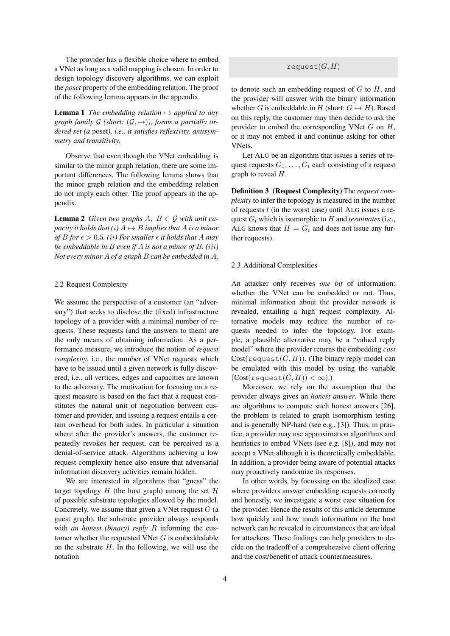The provider has a flexible choice where to embed a VNet as long as a valid mapping is chosen. In order to design topology discovery algorithms, we can exploit the *poset* property of the embedding relation. The proof of the following lemma appears in the appendix.

**Lemma 1** *The embedding relation*  $\mapsto$  *applied to any graph family*  $G$  (*short:*  $(G, \rightarrow)$ *), forms a partially ordered set (a* poset*), i.e., it satisfies reflexivity, antisymmetry and transitivity.*

Observe that even though the VNet embedding is similar to the minor graph relation, there are some important differences. The following lemma shows that the minor graph relation and the embedding relation do not imply each other. The proof appears in the appendix.

**Lemma 2** *Given two graphs*  $A, B \in \mathcal{G}$  *with unit capacity it holds that (i)*  $A \mapsto B$  *implies that* A *is a minor of B for*  $\epsilon > 0.5$ *. (ii) For smaller*  $\epsilon$  *it holds that A may be embeddable in* B *even if* A *is not a minor of* B*. (*iii*) Not every minor* A *of a graph* B *can be embedded in* A*.*

# 2.2 Request Complexity

We assume the perspective of a customer (an "adversary") that seeks to disclose the (fixed) infrastructure topology of a provider with a minimal number of requests. These requests (and the answers to them) are the only means of obtaining information. As a performance measure, we introduce the notion of *request complexity*, i.e., the number of VNet requests which have to be issued until a given network is fully discovered, i.e., all vertices, edges and capacities are known to the adversary. The motivation for focusing on a request measure is based on the fact that a request constitutes the natural unit of negotiation between customer and provider, and issuing a request entails a certain overhead for both sides. In particular a situation where after the provider's answers, the customer repeatedly revokes her request, can be perceived as a denial-of-service attack. Algorithms achieving a low request complexity hence also ensure that adversarial information discovery activities remain hidden.

We are interested in algorithms that "guess" the target topology  $H$  (the host graph) among the set  $H$ of possible substrate topologies allowed by the model. Concretely, we assume that given a VNet request  $G$  (a guest graph), the substrate provider always responds with *an honest (binary) reply R* informing the customer whether the requested VNet  $G$  is embeddedable on the substrate  $H$ . In the following, we will use the notation

## request $(G, H)$

to denote such an embedding request of  $G$  to  $H$ , and the provider will answer with the binary information whether G is embeddable in H (short:  $G \mapsto H$ ). Based on this reply, the customer may then decide to ask the provider to embed the corresponding VNet  $G$  on  $H$ , or it may not embed it and continue asking for other VNets.

Let ALG be an algorithm that issues a series of request requests  $G_1, \ldots, G_t$  each consisting of a request graph to reveal H.

Definition 3 (Request Complexity) The *request complexity* to infer the topology is measured in the number of requests  $t$  (in the worst case) until ALG issues a request  $G_t$  which is isomorphic to H and *terminates* (i.e., ALG knows that  $H = G_t$  and does not issue any further requests).

#### 2.3 Additional Complexities

An attacker only receives *one bit* of information: whether the VNet can be embedded or not. Thus, minimal information about the provider network is revealed, entailing a high request complexity. Alternative models may reduce the number of requests needed to infer the topology. For example, a plausible alternative may be a "valued reply model" where the provider returns the embedding *cost*  $Cost(request(G, H))$ . (The binary reply model can be emulated with this model by using the variable  $(Cost(request(G, H)) < \infty).$ 

Moreover, we rely on the assumption that the provider always gives an *honest answer*. While there are algorithms to compute such honest answers [26], the problem is related to graph isomorphism testing and is generally NP-hard (see e.g., [3]). Thus, in practice, a provider may use approximation algorithms and heuristics to embed VNets (see e.g. [8]), and may not accept a VNet although it is theoretically embeddable. In addition, a provider being aware of potential attacks may proactively randomize its responses.

In other words, by focussing on the idealized case where providers answer embedding requests correctly and honestly, we investigate a worst case situation for the provider. Hence the results of this article determine how quickly and how much information on the host network can be revealed in circumstances that are ideal for attackers. These findings can help providers to decide on the tradeoff of a comprehensive client offering and the cost/benefit of attack countermeasures.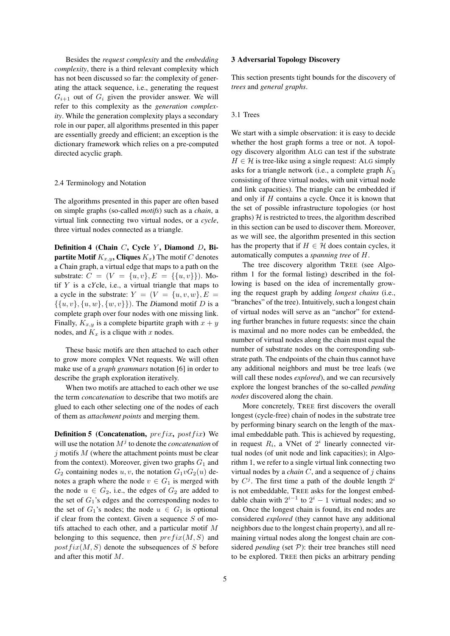Besides the *request complexity* and the *embedding complexity*, there is a third relevant complexity which has not been discussed so far: the complexity of generating the attack sequence, i.e., generating the request  $G_{i+1}$  out of  $G_i$  given the provider answer. We will refer to this complexity as the *generation complexity*. While the generation complexity plays a secondary role in our paper, all algorithms presented in this paper are essentially greedy and efficient; an exception is the dictionary framework which relies on a pre-computed directed acyclic graph.

#### 2.4 Terminology and Notation

The algorithms presented in this paper are often based on simple graphs (so-called *motifs*) such as a *chain*, a virtual link connecting two virtual nodes, or a *cycle*, three virtual nodes connected as a triangle.

Definition 4 (Chain  $C$ , Cycle  $Y$ , Diamond  $D$ , Bi**partite Motif**  $K_{x,y}$ , Cliques  $K_x$ ) The motif C denotes a *C*hain graph, a virtual edge that maps to a path on the substrate:  $C = (V = \{u, v\}, E = \{\{u, v\}\})$ . Motif Y is a c*Y*cle, i.e., a virtual triangle that maps to a cycle in the substrate:  $Y = (V = \{u, v, w\}, E =$  $\{\{u, v\}, \{u, w\}, \{w, v\}\}\)$ . The *Diamond motif D is a* complete graph over four nodes with one missing link. Finally,  $K_{x,y}$  is a complete bipartite graph with  $x + y$ nodes, and  $K_x$  is a clique with x nodes.

These basic motifs are then attached to each other to grow more complex VNet requests. We will often make use of a *graph grammars* notation [6] in order to describe the graph exploration iteratively.

When two motifs are attached to each other we use the term *concatenation* to describe that two motifs are glued to each other selecting one of the nodes of each of them as *attachment points* and merging them.

**Definition 5** (Concatenation,  $prefix, postfix$ ) We will use the notation  $M<sup>j</sup>$  to denote the *concatenation* of  $j$  motifs  $M$  (where the attachment points must be clear from the context). Moreover, given two graphs  $G_1$  and  $G_2$  containing nodes u, v, the notation  $G_1vG_2(u)$  denotes a graph where the node  $v \in G_1$  is merged with the node  $u \in G_2$ , i.e., the edges of  $G_2$  are added to the set of  $G_1$ 's edges and the corresponding nodes to the set of  $G_1$ 's nodes; the node  $u \in G_1$  is optional if clear from the context. Given a sequence  $S$  of motifs attached to each other, and a particular motif M belonging to this sequence, then  $prefix(M, S)$  and  $postfix(M, S)$  denote the subsequences of S before and after this motif M.

## 3 Adversarial Topology Discovery

This section presents tight bounds for the discovery of *trees* and *general graphs*.

## 3.1 Trees

We start with a simple observation: it is easy to decide whether the host graph forms a tree or not. A topology discovery algorithm ALG can test if the substrate  $H \in \mathcal{H}$  is tree-like using a single request: ALG simply asks for a triangle network (i.e., a complete graph  $K_3$ ) consisting of three virtual nodes, with unit virtual node and link capacities). The triangle can be embedded if and only if H contains a cycle. Once it is known that the set of possible infrastructure topologies (or host graphs)  $H$  is restricted to trees, the algorithm described in this section can be used to discover them. Moreover, as we will see, the algorithm presented in this section has the property that if  $H \in \mathcal{H}$  does contain cycles, it automatically computes a *spanning tree* of H.

The tree discovery algorithm TREE (see Algorithm 1 for the formal listing) described in the following is based on the idea of incrementally growing the request graph by adding *longest chains* (i.e., "branches" of the tree). Intuitively, such a longest chain of virtual nodes will serve as an "anchor" for extending further branches in future requests: since the chain is maximal and no more nodes can be embedded, the number of virtual nodes along the chain must equal the number of substrate nodes on the corresponding substrate path. The endpoints of the chain thus cannot have any additional neighbors and must be tree leafs (we will call these nodes *explored*), and we can recursively explore the longest branches of the so-called *pending nodes* discovered along the chain.

More concretely, TREE first discovers the overall longest (cycle-free) chain of nodes in the substrate tree by performing binary search on the length of the maximal embeddable path. This is achieved by requesting, in request  $R_i$ , a VNet of  $2^i$  linearly connected virtual nodes (of unit node and link capacities); in Algorithm 1, we refer to a single virtual link connecting two virtual nodes by a *chain*  $C$ , and a sequence of  $j$  chains by  $C^j$ . The first time a path of the double length  $2^i$ is not embeddable, TREE asks for the longest embeddable chain with  $2^{i-1}$  to  $2^i - 1$  virtual nodes; and so on. Once the longest chain is found, its end nodes are considered *explored* (they cannot have any additional neighbors due to the longest chain property), and all remaining virtual nodes along the longest chain are considered *pending* (set  $P$ ): their tree branches still need to be explored. TREE then picks an arbitrary pending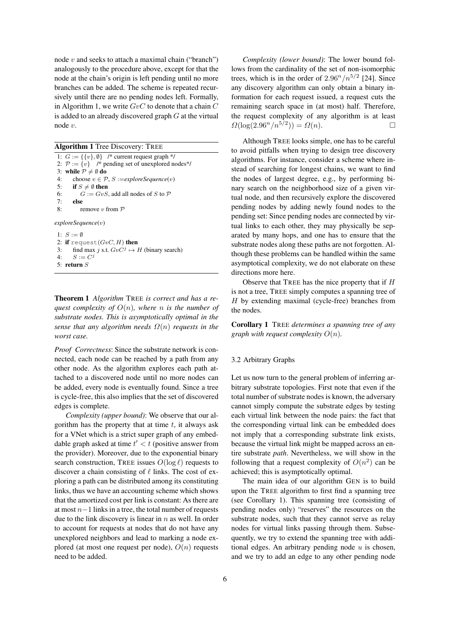node  $v$  and seeks to attach a maximal chain ("branch") analogously to the procedure above, except for that the node at the chain's origin is left pending until no more branches can be added. The scheme is repeated recursively until there are no pending nodes left. Formally, in Algorithm 1, we write  $GvC$  to denote that a chain  $C$ is added to an already discovered graph  $G$  at the virtual node v.

Algorithm 1 Tree Discovery: TREE

```
1: G := \{ \{v\}, \emptyset \} /* current request graph */
2: P := \{v\} /* pending set of unexplored nodes*/
3: while \mathcal{P} \neq \emptyset do
4: choose v \in \mathcal{P}, S := \text{exploreSequence}(v)5: if S \neq \emptyset then
6: G := GvS, add all nodes of S to P
7: else
8: remove v from PexploreSequence(v)
1: S := \emptyset2: if request(GvC, H) then
3: find max j s.t. GvC^j \mapsto H (binary search)
4: S := C^j5: return S
```
Theorem 1 *Algorithm* TREE *is correct and has a request complexity of* O(n)*, where* n *is the number of substrate nodes. This is asymptotically optimal in the sense that any algorithm needs*  $\Omega(n)$  *requests in the worst case.*

*Proof Correctness*: Since the substrate network is connected, each node can be reached by a path from any other node. As the algorithm explores each path attached to a discovered node until no more nodes can be added, every node is eventually found. Since a tree is cycle-free, this also implies that the set of discovered edges is complete.

*Complexity (upper bound)*: We observe that our algorithm has the property that at time  $t$ , it always ask for a VNet which is a strict super graph of any embeddable graph asked at time  $t' < t$  (positive answer from the provider). Moreover, due to the exponential binary search construction, TREE issues  $O(\log \ell)$  requests to discover a chain consisting of  $\ell$  links. The cost of exploring a path can be distributed among its constituting links, thus we have an accounting scheme which shows that the amortized cost per link is constant: As there are at most n−1 links in a tree, the total number of requests due to the link discovery is linear in  $n$  as well. In order to account for requests at nodes that do not have any unexplored neighbors and lead to marking a node explored (at most one request per node),  $O(n)$  requests need to be added.

*Complexity (lower bound)*: The lower bound follows from the cardinality of the set of non-isomorphic trees, which is in the order of  $2.96^n/n^{5/2}$  [24]. Since any discovery algorithm can only obtain a binary information for each request issued, a request cuts the remaining search space in (at most) half. Therefore, the request complexity of any algorithm is at least  $\Omega(\log(2.96^n/n^{5/2})) = \Omega(n).$ 

Although TREE looks simple, one has to be careful to avoid pitfalls when trying to design tree discovery algorithms. For instance, consider a scheme where instead of searching for longest chains, we want to find the nodes of largest degree, e.g., by performing binary search on the neighborhood size of a given virtual node, and then recursively explore the discovered pending nodes by adding newly found nodes to the pending set: Since pending nodes are connected by virtual links to each other, they may physically be separated by many hops, and one has to ensure that the substrate nodes along these paths are not forgotten. Although these problems can be handled within the same asymptotical complexity, we do not elaborate on these directions more here.

Observe that TREE has the nice property that if  $H$ is not a tree, TREE simply computes a spanning tree of H by extending maximal (cycle-free) branches from the nodes.

Corollary 1 TREE *determines a spanning tree of any graph with request complexity*  $O(n)$ *.* 

## 3.2 Arbitrary Graphs

Let us now turn to the general problem of inferring arbitrary substrate topologies. First note that even if the total number of substrate nodes is known, the adversary cannot simply compute the substrate edges by testing each virtual link between the node pairs: the fact that the corresponding virtual link can be embedded does not imply that a corresponding substrate link exists, because the virtual link might be mapped across an entire substrate *path*. Nevertheless, we will show in the following that a request complexity of  $O(n^2)$  can be achieved; this is asymptotically optimal.

The main idea of our algorithm GEN is to build upon the TREE algorithm to first find a spanning tree (see Corollary 1). This spanning tree (consisting of pending nodes only) "reserves" the resources on the substrate nodes, such that they cannot serve as relay nodes for virtual links passing through them. Subsequently, we try to extend the spanning tree with additional edges. An arbitrary pending node  $u$  is chosen, and we try to add an edge to any other pending node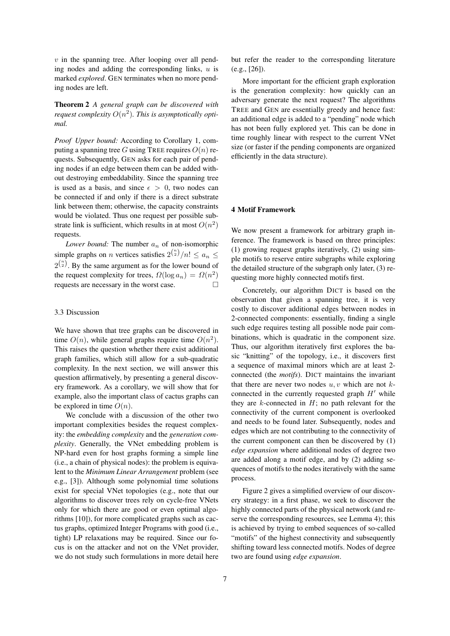$v$  in the spanning tree. After looping over all pending nodes and adding the corresponding links,  $u$  is marked *explored*. GEN terminates when no more pending nodes are left.

Theorem 2 *A general graph can be discovered with request complexity*  $O(n^2)$ *. This is asymptotically optimal.*

*Proof Upper bound:* According to Corollary 1, computing a spanning tree G using TREE requires  $O(n)$  requests. Subsequently, GEN asks for each pair of pending nodes if an edge between them can be added without destroying embeddability. Since the spanning tree is used as a basis, and since  $\epsilon > 0$ , two nodes can be connected if and only if there is a direct substrate link between them; otherwise, the capacity constraints would be violated. Thus one request per possible substrate link is sufficient, which results in at most  $O(n^2)$ requests.

*Lower bound:* The number  $a_n$  of non-isomorphic simple graphs on *n* vertices satisfies  $2^{\binom{n}{2}}/n! \le a_n \le$  $2^{n \choose 2}$ . By the same argument as for the lower bound of the request complexity for trees,  $\Omega(\log a_n) = \Omega(n^2)$ requests are necessary in the worst case.

# 3.3 Discussion

We have shown that tree graphs can be discovered in time  $O(n)$ , while general graphs require time  $O(n^2)$ . This raises the question whether there exist additional graph families, which still allow for a sub-quadratic complexity. In the next section, we will answer this question affirmatively, by presenting a general discovery framework. As a corollary, we will show that for example, also the important class of cactus graphs can be explored in time  $O(n)$ .

We conclude with a discussion of the other two important complexities besides the request complexity: the *embedding complexity* and the *generation complexity*. Generally, the VNet embedding problem is NP-hard even for host graphs forming a simple line (i.e., a chain of physical nodes): the problem is equivalent to the *Minimum Linear Arrangement* problem (see e.g., [3]). Although some polynomial time solutions exist for special VNet topologies (e.g., note that our algorithms to discover trees rely on cycle-free VNets only for which there are good or even optimal algorithms [10]), for more complicated graphs such as cactus graphs, optimized Integer Programs with good (i.e., tight) LP relaxations may be required. Since our focus is on the attacker and not on the VNet provider, we do not study such formulations in more detail here but refer the reader to the corresponding literature (e.g., [26]).

More important for the efficient graph exploration is the generation complexity: how quickly can an adversary generate the next request? The algorithms TREE and GEN are essentially greedy and hence fast: an additional edge is added to a "pending" node which has not been fully explored yet. This can be done in time roughly linear with respect to the current VNet size (or faster if the pending components are organized efficiently in the data structure).

# 4 Motif Framework

We now present a framework for arbitrary graph inference. The framework is based on three principles: (1) growing request graphs iteratively, (2) using simple motifs to reserve entire subgraphs while exploring the detailed structure of the subgraph only later, (3) requesting more highly connected motifs first.

Concretely, our algorithm DICT is based on the observation that given a spanning tree, it is very costly to discover additional edges between nodes in 2-connected components: essentially, finding a single such edge requires testing all possible node pair combinations, which is quadratic in the component size. Thus, our algorithm iteratively first explores the basic "knitting" of the topology, i.e., it discovers first a sequence of maximal minors which are at least 2 connected (the *motifs*). DICT maintains the invariant that there are never two nodes  $u, v$  which are not  $k$ connected in the currently requested graph  $H'$  while they are  $k$ -connected in  $H$ ; no path relevant for the connectivity of the current component is overlooked and needs to be found later. Subsequently, nodes and edges which are not contributing to the connectivity of the current component can then be discovered by (1) *edge expansion* where additional nodes of degree two are added along a motif edge, and by (2) adding sequences of motifs to the nodes iteratively with the same process.

Figure 2 gives a simplified overview of our discovery strategy: in a first phase, we seek to discover the highly connected parts of the physical network (and reserve the corresponding resources, see Lemma 4); this is achieved by trying to embed sequences of so-called "motifs" of the highest connectivity and subsequently shifting toward less connected motifs. Nodes of degree two are found using *edge expansion*.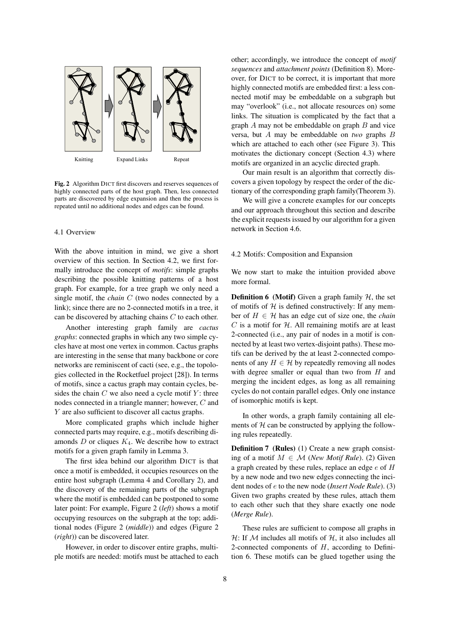

Fig. 2 Algorithm DICT first discovers and reserves sequences of highly connected parts of the host graph. Then, less connected parts are discovered by edge expansion and then the process is repeated until no additional nodes and edges can be found.

## 4.1 Overview

With the above intuition in mind, we give a short overview of this section. In Section 4.2, we first formally introduce the concept of *motifs*: simple graphs describing the possible knitting patterns of a host graph. For example, for a tree graph we only need a single motif, the *chain* C (two nodes connected by a link); since there are no 2-connected motifs in a tree, it can be discovered by attaching chains  $C$  to each other.

Another interesting graph family are *cactus graphs*: connected graphs in which any two simple cycles have at most one vertex in common. Cactus graphs are interesting in the sense that many backbone or core networks are reminiscent of cacti (see, e.g., the topologies collected in the Rocketfuel project [28]). In terms of motifs, since a cactus graph may contain cycles, besides the chain  $C$  we also need a cycle motif  $Y$ : three nodes connected in a triangle manner; however, C and Y are also sufficient to discover all cactus graphs.

More complicated graphs which include higher connected parts may require, e.g., motifs describing diamonds  $D$  or cliques  $K_4$ . We describe how to extract motifs for a given graph family in Lemma 3.

The first idea behind our algorithm DICT is that once a motif is embedded, it occupies resources on the entire host subgraph (Lemma 4 and Corollary 2), and the discovery of the remaining parts of the subgraph where the motif is embedded can be postponed to some later point: For example, Figure 2 (*left*) shows a motif occupying resources on the subgraph at the top; additional nodes (Figure 2 (*middle*)) and edges (Figure 2 (*right*)) can be discovered later.

However, in order to discover entire graphs, multiple motifs are needed: motifs must be attached to each other; accordingly, we introduce the concept of *motif sequences* and *attachment points* (Definition 8). Moreover, for DICT to be correct, it is important that more highly connected motifs are embedded first: a less connected motif may be embeddable on a subgraph but may "overlook" (i.e., not allocate resources on) some links. The situation is complicated by the fact that a graph  $A$  may not be embeddable on graph  $B$  and vice versa, but A may be embeddable on *two* graphs B which are attached to each other (see Figure 3). This motivates the dictionary concept (Section 4.3) where motifs are organized in an acyclic directed graph.

Our main result is an algorithm that correctly discovers a given topology by respect the order of the dictionary of the corresponding graph family(Theorem 3).

We will give a concrete examples for our concepts and our approach throughout this section and describe the explicit requests issued by our algorithm for a given network in Section 4.6.

## 4.2 Motifs: Composition and Expansion

We now start to make the intuition provided above more formal.

**Definition 6** (Motif) Given a graph family  $H$ , the set of motifs of  $H$  is defined constructively: If any member of  $H \in \mathcal{H}$  has an edge cut of size one, the *chain*  $C$  is a motif for  $H$ . All remaining motifs are at least 2-connected (i.e., any pair of nodes in a motif is connected by at least two vertex-disjoint paths). These motifs can be derived by the at least 2-connected components of any  $H \in \mathcal{H}$  by repeatedly removing all nodes with degree smaller or equal than two from  $H$  and merging the incident edges, as long as all remaining cycles do not contain parallel edges. Only one instance of isomorphic motifs is kept.

In other words, a graph family containing all elements of  $H$  can be constructed by applying the following rules repeatedly.

**Definition 7 (Rules)** (1) Create a new graph consisting of a motif  $M \in \mathcal{M}$  (*New Motif Rule*). (2) Given a graph created by these rules, replace an edge  $e$  of  $H$ by a new node and two new edges connecting the incident nodes of e to the new node (*Insert Node Rule*). (3) Given two graphs created by these rules, attach them to each other such that they share exactly one node (*Merge Rule*).

These rules are sufficient to compose all graphs in  $H:$  If M includes all motifs of  $H$ , it also includes all 2-connected components of  $H$ , according to Definition 6. These motifs can be glued together using the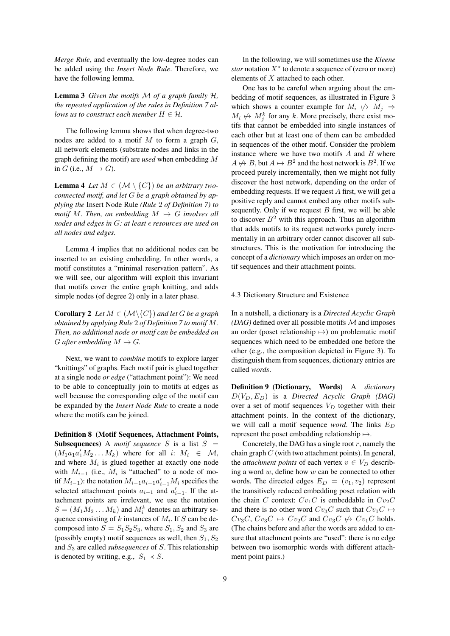*Merge Rule*, and eventually the low-degree nodes can be added using the *Insert Node Rule*. Therefore, we have the following lemma.

Lemma 3 *Given the motifs* M *of a graph family* H*, the repeated application of the rules in Definition 7 allows us to construct each member*  $H \in \mathcal{H}$ *.* 

The following lemma shows that when degree-two nodes are added to a motif  $M$  to form a graph  $G$ , all network elements (substrate nodes and links in the graph defining the motif) are *used* when embedding M in G (i.e.,  $M \mapsto G$ ).

**Lemma 4** *Let*  $M \in (\mathcal{M} \setminus \{C\})$  *be an arbitrary twoconnected motif, and let* G *be a graph obtained by applying the* Insert Node Rule *(Rule* 2 *of Definition 7) to motif* M. Then, an embedding  $M \mapsto G$  *involves all nodes and edges in* G*: at least resources are used on all nodes and edges.*

Lemma 4 implies that no additional nodes can be inserted to an existing embedding. In other words, a motif constitutes a "minimal reservation pattern". As we will see, our algorithm will exploit this invariant that motifs cover the entire graph knitting, and adds simple nodes (of degree 2) only in a later phase.

**Corollary 2** *Let*  $M \in (\mathcal{M} \backslash \{C\})$  *and let*  $G$  *be a graph obtained by applying Rule* 2 *of Definition 7 to motif* M*. Then, no additional node or motif can be embedded on* G after embedding  $M \mapsto G$ .

Next, we want to *combine* motifs to explore larger "knittings" of graphs. Each motif pair is glued together at a single node *or edge* ("attachment point"): We need to be able to conceptually join to motifs at edges as well because the corresponding edge of the motif can be expanded by the *Insert Node Rule* to create a node where the motifs can be joined.

Definition 8 (Motif Sequences, Attachment Points, **Subsequences**) A *motif sequence* S is a list  $S =$  $(M_1a_1a'_1M_2...M_k)$  where for all i:  $M_i \in \mathcal{M}$ , and where  $M_i$  is glued together at exactly one node with  $M_{i-1}$  (i.e.,  $M_i$  is "attached" to a node of motif  $M_{i-1}$ ): the notation  $M_{i-1}a_{i-1}a'_{i-1}M_i$  specifies the selected attachment points  $a_{i-1}$  and  $a'_{i-1}$ . If the attachment points are irrelevant, we use the notation  $S = (M_1 M_2 ... M_k)$  and  $M_i^k$  denotes an arbitrary sequence consisting of  $k$  instances of  $M_i$ . If  $S$  can be decomposed into  $S = S_1S_2S_3$ , where  $S_1, S_2$  and  $S_3$  are (possibly empty) motif sequences as well, then  $S_1, S_2$ and S<sup>3</sup> are called *subsequences* of S. This relationship is denoted by writing, e.g.,  $S_1 \prec S$ .

In the following, we will sometimes use the *Kleene star* notation  $X^*$  to denote a sequence of (zero or more) elements of X attached to each other.

One has to be careful when arguing about the embedding of motif sequences, as illustrated in Figure 3 which shows a counter example for  $M_i \not\mapsto M_j \Rightarrow$  $M_i \nleftrightarrow M_j^k$  for any k. More precisely, there exist motifs that cannot be embedded into single instances of each other but at least one of them can be embedded in sequences of the other motif. Consider the problem instance where we have two motifs  $A$  and  $B$  where  $A \nleftrightarrow B$ , but  $A \mapsto B^2$  and the host network is  $B^2$ . If we proceed purely incrementally, then we might not fully discover the host network, depending on the order of embedding requests. If we request A first, we will get a positive reply and cannot embed any other motifs subsequently. Only if we request  $B$  first, we will be able to discover  $B^2$  with this approach. Thus an algorithm that adds motifs to its request networks purely incrementally in an arbitrary order cannot discover all substructures. This is the motivation for introducing the concept of a *dictionary* which imposes an order on motif sequences and their attachment points.

## 4.3 Dictionary Structure and Existence

In a nutshell, a dictionary is a *Directed Acyclic Graph*  $(DAG)$  defined over all possible motifs  $M$  and imposes an order (poset relationship  $\mapsto$ ) on problematic motif sequences which need to be embedded one before the other (e.g., the composition depicted in Figure 3). To distinguish them from sequences, dictionary entries are called *words*.

Definition 9 (Dictionary, Words) A *dictionary*  $D(V_D, E_D)$  is a *Directed Acyclic Graph (DAG)* over a set of motif sequences  $V_D$  together with their attachment points. In the context of the dictionary, we will call a motif sequence *word*. The links  $E_D$ represent the poset embedding relationship  $\mapsto$ .

Concretely, the DAG has a single root  $r$ , namely the chain graph  $C$  (with two attachment points). In general, the *attachment points* of each vertex  $v \in V_D$  describing a word  $w$ , define how  $w$  can be connected to other words. The directed edges  $E_D = (v_1, v_2)$  represent the transitively reduced embedding poset relation with the chain C context:  $Cv_1C$  is embeddable in  $Cv_2C$ and there is no other word  $Cv_3C$  such that  $Cv_1C \rightarrow$  $Cv_3C, Cv_3C \rightarrow Cv_2C$  and  $Cv_3C \not\rightarrow Cv_1C$  holds. (The chains before and after the words are added to ensure that attachment points are "used": there is no edge between two isomorphic words with different attachment point pairs.)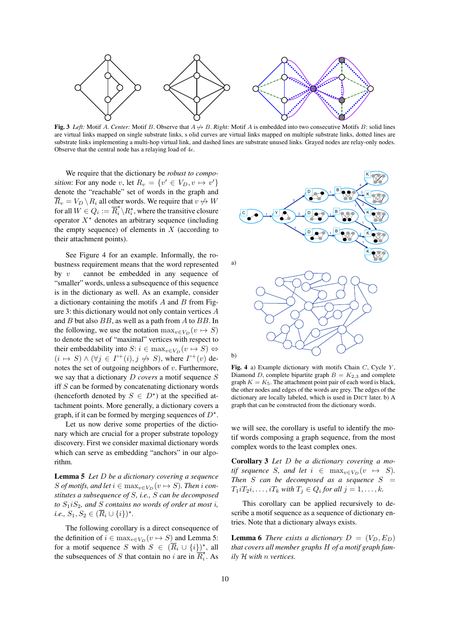

Fig. 3 *Left:* Motif A. *Center:* Motif B. Observe that  $A \not\mapsto B$ . *Right:* Motif A is embedded into two consecutive Motifs B: solid lines are virtual links mapped on single substrate links, s olid curves are virtual links mapped on multiple substrate links, dotted lines are substrate links implementing a multi-hop virtual link, and dashed lines are substrate unused links. Grayed nodes are relay-only nodes. Observe that the central node has a relaying load of  $4\epsilon$ .

We require that the dictionary be *robust to composition*: For any node v, let  $R_v = \{v' \in V_D, v \mapsto v'\}$ denote the "reachable" set of words in the graph and  $\overline{R}_v = V_D \setminus R_i$  all other words. We require that  $v \not\rightarrow W$ for all  $\overline{W} \in Q_i := \overline{R}_i^* \backslash R_i^*$ , where the transitive closure operator  $X^*$  denotes an arbitrary sequence (including the empty sequence) of elements in  $X$  (according to their attachment points).

See Figure 4 for an example. Informally, the robustness requirement means that the word represented by  $v$  cannot be embedded in any sequence of "smaller" words, unless a subsequence of this sequence is in the dictionary as well. As an example, consider a dictionary containing the motifs  $A$  and  $B$  from Figure 3: this dictionary would not only contain vertices A and  $B$  but also  $BB$ , as well as a path from  $A$  to  $BB$ . In the following, we use the notation  $\max_{v \in V_D} (v \mapsto S)$ to denote the set of "maximal" vertices with respect to their embeddability into  $S: i \in \max_{v \in V_D} (v \mapsto S) \Leftrightarrow$  $(i \mapsto S) \wedge (\forall j \in \Gamma^+(i), j \not\mapsto S)$ , where  $\Gamma^+(v)$  denotes the set of outgoing neighbors of  $v$ . Furthermore, we say that a dictionary D *covers* a motif sequence S iff S can be formed by concatenating dictionary words (henceforth denoted by  $S \in D^*$ ) at the specified attachment points. More generally, a dictionary covers a graph, if it can be formed by merging sequences of  $D^*$ .

Let us now derive some properties of the dictionary which are crucial for a proper substrate topology discovery. First we consider maximal dictionary words which can serve as embedding "anchors" in our algorithm.

Lemma 5 *Let* D *be a dictionary covering a sequence* S *of motifs, and let*  $i \in \max_{v \in V_D} (v \mapsto S)$ *. Then*  $i$  *constitutes a subsequence of* S*, i.e.,* S *can be decomposed to*  $S_1$ *i* $S_2$ *, and S contains no words of order at most <i>i*, *i.e.,*  $S_1, S_2 \in (\overline{R}_i \cup \{i\})^{\star}$ *.* 

The following corollary is a direct consequence of the definition of  $i \in \max_{v \in V_D} (v \mapsto S)$  and Lemma 5: for a motif sequence S with  $S \in (\overline{R}_i \cup \{i\})^{\star}$ , all the subsequences of S that contain no i are in  $\overline{R_i^*}$  $\hat{i}$ . As



Fig. 4 a) Example dictionary with motifs Chain  $C$ , Cycle  $Y$ , Diamond D, complete bipartite graph  $B = K_{2,3}$  and complete graph  $K = K_5$ . The attachment point pair of each word is black, the other nodes and edges of the words are grey. The edges of the dictionary are locally labeled, which is used in DICT later. b) A graph that can be constructed from the dictionary words.

we will see, the corollary is useful to identify the motif words composing a graph sequence, from the most complex words to the least complex ones.

Corollary 3 *Let* D *be a dictionary covering a motif sequence S, and let*  $i \in \max_{v \in V_D} (v \mapsto S)$ *. Then S can be decomposed as a sequence*  $S =$  $T_1$ *i* $T_2$ *i*,  $\ldots$ , *i* $T_k$  *with*  $T_j \in Q_i$  *for all*  $j = 1, \ldots, k$ *.* 

This corollary can be applied recursively to describe a motif sequence as a sequence of dictionary entries. Note that a dictionary always exists.

**Lemma 6** *There exists a dictionary*  $D = (V_D, E_D)$ *that covers all member graphs* H *of a motif graph family* H *with* n *vertices.*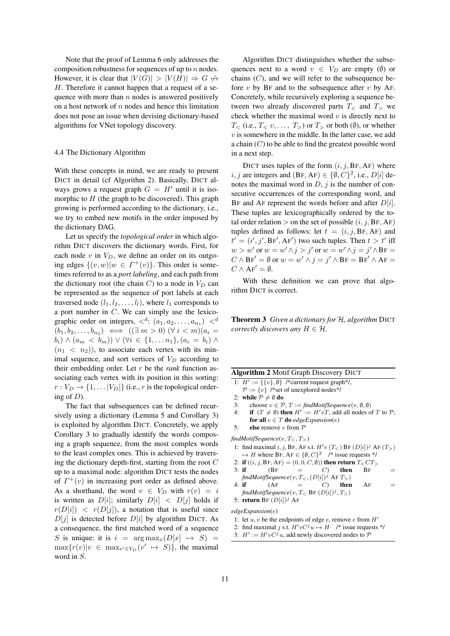Note that the proof of Lemma 6 only addresses the composition robustness for sequences of up to n nodes. However, it is clear that  $|V(G)| > |V(H)| \Rightarrow G \not\mapsto$ H. Therefore it cannot happen that a request of a sequence with more than  $n$  nodes is answered positively on a host network of  $n$  nodes and hence this limitation does not pose an issue when devising dictionary-based algorithms for VNet topology discovery.

## 4.4 The Dictionary Algorithm

With these concepts in mind, we are ready to present DICT in detail (cf Algorithm 2). Basically, DICT always grows a request graph  $G = H'$  until it is isomorphic to  $H$  (the graph to be discovered). This graph growing is performed according to the dictionary, i.e., we try to embed new motifs in the order imposed by the dictionary DAG.

Let us specify the *topological order* in which algorithm DICT discovers the dictionary words. First, for each node  $v$  in  $V_D$ , we define an order on its outgoing edges  $\{(v, w) | w \in \Gamma^+(v)\}\)$ . This order is sometimes referred to as a *port labeling*, and each path from the dictionary root (the chain C) to a node in  $V_D$  can be represented as the sequence of port labels at each traversed node  $(l_1, l_2, \ldots, l_l)$ , where  $l_1$  corresponds to a port number in C. We can simply use the lexicographic order on integers,  $\langle a_1, a_2, \dots, a_{n_1} \rangle \langle a_1, a_2, \dots, a_{n_n} \rangle$  $(b_1, b_2, \ldots, b_{n_2}) \iff ((\exists m > 0) (\forall i < m)(a_i =$  $b_i) \wedge (a_m < b_m) \vee (\forall i \in \{1, \dots n_1\}, (a_i = b_i) \wedge$  $(n_1 < n_2)$ , to associate each vertex with its minimal sequence, and sort vertices of  $V_D$  according to their embedding order. Let r be the *rank* function associating each vertex with its position in this sorting:  $r: V_D \to \{1, \ldots |V_D|\}$  (i.e., r is the topological ordering of  $D$ ).

The fact that subsequences can be defined recursively using a dictionary (Lemma 5 and Corollary 3) is exploited by algorithm DICT. Concretely, we apply Corollary 3 to gradually identify the words composing a graph sequence, from the most complex words to the least complex ones. This is achieved by traversing the dictionary depth-first, starting from the root  $C$ up to a maximal node: algorithm DICT tests the nodes of  $\Gamma^+(v)$  in increasing port order as defined above. As a shorthand, the word  $v \in V_D$  with  $r(v) = i$ is written as  $D[i]$ ; similarly  $D[i] < D[j]$  holds if  $r(D[i]) \leq r(D[j])$ , a notation that is useful since  $D[j]$  is detected before  $D[i]$  by algorithm DICT. As a consequence, the first matched word of a sequence S is unique: it is  $i = \arg \max_x (D[x] \mapsto S)$  =  $\max\{r(v)|v \in \max_{v' \in V_D} (v' \mapsto S)\}\$ , the maximal word in S.

Algorithm DICT distinguishes whether the subsequences next to a word  $v \in V_D$  are empty ( $\emptyset$ ) or chains  $(C)$ , and we will refer to the subsequence before  $v$  by BF and to the subsequence after  $v$  by AF. Concretely, while recursively exploring a sequence between two already discovered parts  $T<sub>0</sub>$  and  $T<sub>0</sub>$  we check whether the maximal word  $v$  is directly next to  $T<$  (i.e.,  $T<sub>0</sub>$ , ...,  $T<sub>0</sub>$ ) or  $T<sub>0</sub>$  or both ( $\emptyset$ ), or whether  $v$  is somewhere in the middle. In the latter case, we add a chain  $(C)$  to be able to find the greatest possible word in a next step.

DICT uses tuples of the form  $(i, j, BF, AF)$  where  $i, j$  are integers and  $(BF, AF) \in \{\emptyset, C\}^2$ , i.e.,  $D[i]$  denotes the maximal word in  $D$ ,  $j$  is the number of consecutive occurrences of the corresponding word, and BF and AF represent the words before and after  $D[i]$ . These tuples are lexicographically ordered by the total order relation  $>$  on the set of possible  $(i, j, BF, AF)$ tuples defined as follows: let  $t = (i, j, BF, AF)$  and  $t' = (i', j', BF', AF')$  two such tuples. Then  $t > t'$  iff  $w > w'$  or  $w = w' \wedge j > j'$  or  $w = w' \wedge j = j' \wedge BF = j' \wedge F$  $C \wedge BF' = \emptyset$  or  $w = w' \wedge j = j' \wedge BF = BF' \wedge AF =$  $C \wedge AF' = \emptyset.$ 

With these definition we can prove that algorithm DICT is correct.

Theorem 3 *Given a dictionary for* H*, algorithm* DICT *correctly discovers any*  $H \in \mathcal{H}$ *.* 

| <b>Algorithm 2 Motif Graph Discovery DICT</b>              |  |  |  |  |  |
|------------------------------------------------------------|--|--|--|--|--|
| 1: $H' := \{\{v\}, \emptyset\}$ /*current request graph*/, |  |  |  |  |  |

- $P := \{v\}$  /\*set of unexplored nodes\*/
- 2: while  $P \neq \emptyset$  do
- 3: choose  $v \in \mathcal{P}$ ,  $T := \text{findMotifSequence}(v, \emptyset, \emptyset)$
- 4: if  $(T \neq \emptyset)$  then  $H' := H'vT$ , add all nodes of T to P, for all  $e \in T$  do *edgeExpansion*(*e*)

5: **else** remove v from  $P$ 

- $findMotifSequence(v, T_{<} T_{>})$
- 1: find maximal  $i, j$ , BF, AF s.t.  $H'v$   $(T_<)$  BF  $(D[i])^j$  AF  $(T_>)$
- $\mapsto H$  where BF, AF  $\in \{0, C\}^2$  /\* issue requests \*/
- 2: if  $((i, j, BF, AF) = (0, 0, C, \emptyset))$  then return  $T_{\leq}CT_{>}$ 3: if  $(BF = C)$  then  $BF =$
- $findMotifSequence(v, T_{<} (D[i])^j \; \mathrm{AF}\: T_{>} )$
- 4: if  $(AF = C)$  then  $AF =$  $findMotifSequence(v, T < BF(D[i])^j, T > )$ 5: return BF  $(D[i])^j$  AF

*edgeExpansion*(e)

- 1: let  $u, v$  be the endpoints of edge e, remove e from  $H'$
- 2: find maximal j s.t.  $H'vC^ju \mapsto H$  /\* issue requests \*/
- 3:  $H' := H'vC^ju$ , add newly discovered nodes to  $\mathcal P$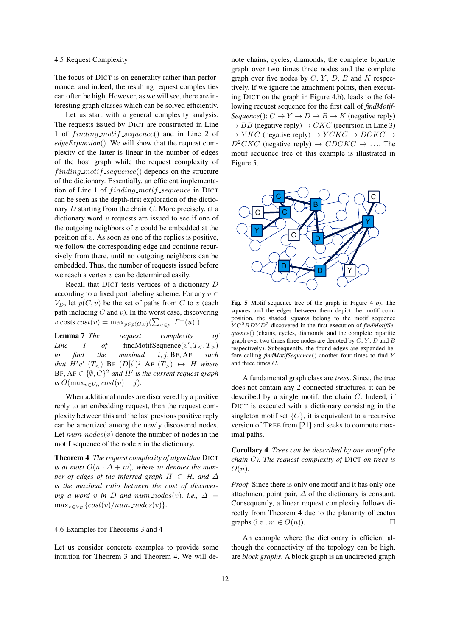## 4.5 Request Complexity

The focus of DICT is on generality rather than performance, and indeed, the resulting request complexities can often be high. However, as we will see, there are interesting graph classes which can be solved efficiently.

Let us start with a general complexity analysis. The requests issued by DICT are constructed in Line 1 of  $finding\_motif\_sequence()$  and in Line 2 of  $edgeExpansion()$ . We will show that the request com-<br>playity of the latter is linear in the number of edges plexity of the latter is linear in the number of edges of the host graph while the request complexity of  $finding\_motif\_sequence()$  depends on the structure of the dictionary. Essentially, an efficient implementation of Line 1 of  $finding\_motif\_sequence$  in DICT can be seen as the depth-first exploration of the dictionary  $D$  starting from the chain  $C$ . More precisely, at a dictionary word  $v$  requests are issued to see if one of the outgoing neighbors of  $v$  could be embedded at the position of  $v$ . As soon as one of the replies is positive, we follow the corresponding edge and continue recursively from there, until no outgoing neighbors can be embedded. Thus, the number of requests issued before we reach a vertex  $v$  can be determined easily.

Recall that DICT tests vertices of a dictionary D according to a fixed port labeling scheme. For any  $v \in$  $V_D$ , let  $p(C, v)$  be the set of paths from C to v (each path including  $C$  and  $v$ ). In the worst case, discovering v costs  $cost(v) = \max_{p \in p(C,v)} (\sum_{u \in p} | \Gamma^+(u) |).$ 

Lemma 7 *The request complexity of Line*  $1$  of findMotifSequence( $v', T_<, T_>$ ) *to find the maximal* i, j, BF, AF *such that*  $H'v'$   $(T_<)$  BF  $(D[i])^j$  AF  $(T_>) \rightarrow H$  *where*  $BF, AF \in \{\emptyset, C\}^2$  and  $H'$  is the current request graph *is*  $O(\max_{v \in V_D} cost(v) + j)$ . complexity  $F = \mathcal{F}$  , 2014  $\mathcal{F}$ 

When additional nodes are discovered by a positive reply to an embedding request, then the request complexity between this and the last previous positive reply can be amortized among the newly discovered nodes. Let  $num\_nodes(v)$  denote the number of nodes in the motif sequence of the node  $v$  in the dictionary.

Theorem 4 *The request complexity of algorithm* DICT *is at most*  $O(n \cdot \Delta + m)$ *, where m denotes the number of edges of the inferred graph*  $H \in \mathcal{H}$ *, and*  $\Delta$ *is the maximal ratio between the cost of discovering a word* v *in* D *and*  $num\_nodes(v)$ *, i.e.,*  $\Delta =$  $\max_{v \in V_D} \{cost(v)/num\_nodes(v)\}.$ 

#### 4.6 Examples for Theorems 3 and 4

Let us consider concrete examples to provide some intuition for Theorem 3 and Theorem 4. We will denote chains, cycles, diamonds, the complete bipartite graph over two times three nodes and the complete graph over five nodes by  $C, Y, D, B$  and  $K$  respectively. If we ignore the attachment points, then executing DICT on the graph in Figure 4.b), leads to the following request sequence for the first call of *findMotif-Sequence*():  $C \rightarrow Y \rightarrow D \rightarrow B \rightarrow K$  (negative reply)  $\rightarrow$  BB (negative reply)  $\rightarrow$  CKC (recursion in Line 3)  $\rightarrow YKC$  (negative reply)  $\rightarrow YCKC \rightarrow DCKC \rightarrow$  $D^2CKC$  (negative reply)  $\rightarrow CDCKC \rightarrow \dots$  The motif sequence tree of this example is illustrated in Figure 5.



Fig. 5 Motif sequence tree of the graph in Figure 4 *b*). The squares and the edges between them depict the motif composition, the shaded squares belong to the motif sequence Y C2BDY D<sup>2</sup> discovered in the first execution of *findMotifSequence*() (chains, cycles, diamonds, and the complete bipartite graph over two times three nodes are denoted by  $C, Y, D$  and  $B$ respectively). Subsequently, the found edges are expanded before calling *findMotifSequence*() another four times to find Y and three times C.

A fundamental graph class are *trees*. Since, the tree does not contain any 2-connected structures, it can be described by a single motif: the chain  $C$ . Indeed, if DICT is executed with a dictionary consisting in the singleton motif set  $\{C\}$ , it is equivalent to a recursive version of TREE from [21] and seeks to compute maximal paths.

Corollary 4 *Trees can be described by one motif (the chain* C*). The request complexity of* DICT *on trees is*  $O(n)$ .

*Proof* Since there is only one motif and it has only one attachment point pair,  $\Delta$  of the dictionary is constant. Consequently, a linear request complexity follows directly from Theorem 4 due to the planarity of cactus graphs (i.e.,  $m \in O(n)$ ).

An example where the dictionary is efficient although the connectivity of the topology can be high, are *block graphs*. A block graph is an undirected graph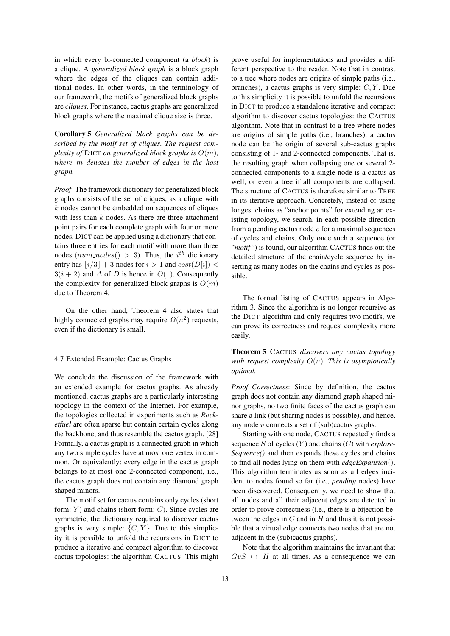in which every bi-connected component (a *block*) is a clique. A *generalized block graph* is a block graph where the edges of the cliques can contain additional nodes. In other words, in the terminology of our framework, the motifs of generalized block graphs are *cliques*. For instance, cactus graphs are generalized block graphs where the maximal clique size is three.

Corollary 5 *Generalized block graphs can be described by the motif set of cliques. The request complexity of* DICT *on generalized block graphs is*  $O(m)$ *, where* m *denotes the number of edges in the host graph.*

*Proof* The framework dictionary for generalized block graphs consists of the set of cliques, as a clique with  $k$  nodes cannot be embedded on sequences of cliques with less than  $k$  nodes. As there are three attachment point pairs for each complete graph with four or more nodes, DICT can be applied using a dictionary that contains three entries for each motif with more than three nodes  $(num\_nodes() > 3)$ . Thus, the  $i^{th}$  dictionary entry has  $|i/3| + 3$  nodes for  $i > 1$  and  $cost(D[i]) <$  $3(i + 2)$  and  $\Delta$  of D is hence in  $O(1)$ . Consequently the complexity for generalized block graphs is  $O(m)$ due to Theorem 4.

On the other hand, Theorem 4 also states that highly connected graphs may require  $\Omega(n^2)$  requests, even if the dictionary is small.

#### 4.7 Extended Example: Cactus Graphs

We conclude the discussion of the framework with an extended example for cactus graphs. As already mentioned, cactus graphs are a particularly interesting topology in the context of the Internet. For example, the topologies collected in experiments such as *Rocketfuel* are often sparse but contain certain cycles along the backbone, and thus resemble the cactus graph. [28] Formally, a cactus graph is a connected graph in which any two simple cycles have at most one vertex in common. Or equivalently: every edge in the cactus graph belongs to at most one 2-connected component, i.e., the cactus graph does not contain any diamond graph shaped minors.

The motif set for cactus contains only cycles (short form:  $Y$ ) and chains (short form:  $C$ ). Since cycles are symmetric, the dictionary required to discover cactus graphs is very simple:  $\{C, Y\}$ . Due to this simplicity it is possible to unfold the recursions in DICT to produce a iterative and compact algorithm to discover cactus topologies: the algorithm CACTUS. This might prove useful for implementations and provides a different perspective to the reader. Note that in contrast to a tree where nodes are origins of simple paths (i.e., branches), a cactus graphs is very simple:  $C, Y$ . Due to this simplicity it is possible to unfold the recursions in DICT to produce a standalone iterative and compact algorithm to discover cactus topologies: the CACTUS algorithm. Note that in contrast to a tree where nodes are origins of simple paths (i.e., branches), a cactus node can be the origin of several sub-cactus graphs consisting of 1- and 2-connected components. That is, the resulting graph when collapsing one or several 2 connected components to a single node is a cactus as well, or even a tree if all components are collapsed. The structure of CACTUS is therefore similar to TREE in its iterative approach. Concretely, instead of using longest chains as "anchor points" for extending an existing topology, we search, in each possible direction from a pending cactus node  $v$  for a maximal sequences of cycles and chains. Only once such a sequence (or "*motif*") is found, our algorithm CACTUS finds out the detailed structure of the chain/cycle sequence by inserting as many nodes on the chains and cycles as possible.

The formal listing of CACTUS appears in Algorithm 3. Since the algorithm is no longer recursive as the DICT algorithm and only requires two motifs, we can prove its correctness and request complexity more easily.

Theorem 5 CACTUS *discovers any cactus topology with request complexity*  $O(n)$ *. This is asymptotically optimal.*

*Proof Correctness*: Since by definition, the cactus graph does not contain any diamond graph shaped minor graphs, no two finite faces of the cactus graph can share a link (but sharing nodes is possible), and hence, any node v connects a set of (sub)cactus graphs.

Starting with one node, CACTUS repeatedly finds a sequence S of cycles (Y ) and chains (C) with *explore-Sequence()* and then expands these cycles and chains to find all nodes lying on them with *edgeExpansion*(). This algorithm terminates as soon as all edges incident to nodes found so far (i.e., *pending* nodes) have been discovered. Consequently, we need to show that all nodes and all their adjacent edges are detected in order to prove correctness (i.e., there is a bijection between the edges in  $G$  and in  $H$  and thus it is not possible that a virtual edge connects two nodes that are not adjacent in the (sub)cactus graphs).

Note that the algorithm maintains the invariant that  $GvS \rightarrow H$  at all times. As a consequence we can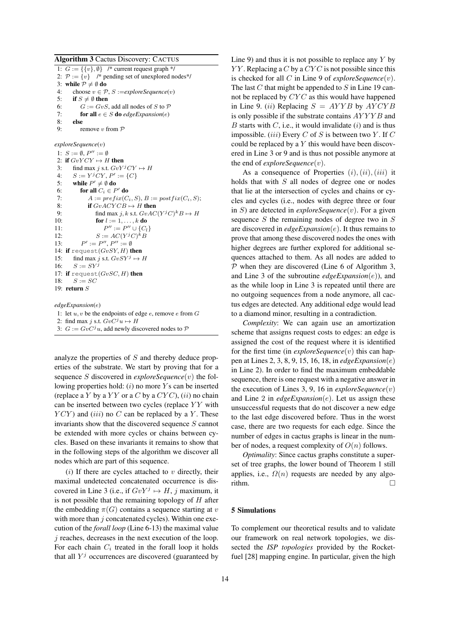Algorithm 3 Cactus Discovery: CACTUS 1:  $G := \{ \{v\}, \emptyset \}$  /\* current request graph \*/ 2:  $P := \{v\}$  /\* pending set of unexplored nodes\*/ 3: while  $P \neq \emptyset$  do 4: choose  $v \in \mathcal{P}$ ,  $S := \text{exploreSequence}(v)$ 5: if  $S \neq \emptyset$  then 6:  $G := GvS$ , add all nodes of S to P 7: **for all**  $e \in S$  **do** *edgeExpansion*(*e*) 8: else 9: remove v from  $P$ *exploreSequence*(v) 1:  $S := \emptyset$ ,  $P'' := \emptyset$ 2: if  $GvYCY \rightarrow H$  then 3: find max j s.t.  $GvY^jCY \mapsto H$ 4:  $S := Y^j CY, P' := \{C\}$ 5: while  $P' \neq \emptyset$  do 6: for all  $C_i \in P'$  do 7:  $A := prefix(C_i, S), B := postfix(C_i, S);$ <br>8: **if**  $GvACYCB \rightarrow H$  then if  $GvACYCB \rightarrow H$  then 9: find max j, k s.t.  $GvAC(Y^jC)^kB \mapsto H$ 10: **for**  $l := 1, ..., k$  **do** 11:  $P'' := P'' \cup \{C_l\}$ 12:  $S := AC(Y^jC)^kB$  $13:$  $' := P''$ ,  $P'' := \emptyset$ 14: if request( $GvSY$ , H) then 15: find max j s.t.  $GvSY^j \mapsto H$ 16:  $S := SY^j$ 17: if request( $GvSC, H$ ) then 18:  $S := SC$ 19: return S

*edgeExpansion*(e)

1: let  $u, v$  be the endpoints of edge  $e$ , remove  $e$  from  $G$ 2: find max j s.t.  $GvC^ju \mapsto H$ 3:  $G := GvC^ju$ , add newly discovered nodes to  $\mathcal P$ 

analyze the properties of S and thereby deduce properties of the substrate. We start by proving that for a sequence S discovered in *exploreSequence*(v) the following properties hold:  $(i)$  no more Y s can be inserted (replace a  $Y$  by a  $YY$  or a  $C$  by a  $CYC$ ), (ii) no chain can be inserted between two cycles (replace  $YY$  with  $YCY$ ) and (iii) no C can be replaced by a Y. These invariants show that the discovered sequence S cannot be extended with more cycles or chains between cycles. Based on these invariants it remains to show that in the following steps of the algorithm we discover all nodes which are part of this sequence.

 $(i)$  If there are cycles attached to  $v$  directly, their maximal undetected concatenated occurrence is discovered in Line 3 (i.e., if  $GvY^j \mapsto H$ , j maximum, it is not possible that the remaining topology of  $H$  after the embedding  $\pi(G)$  contains a sequence starting at v with more than  $j$  concatenated cycles). Within one execution of the *forall loop* (Line 6-13) the maximal value  $j$  reaches, decreases in the next execution of the loop. For each chain  $C_i$  treated in the forall loop it holds that all  $Y^j$  occurrences are discovered (guaranteed by

Line 9) and thus it is not possible to replace any  $Y$  by  $YY$ . Replacing a C by a CYC is not possible since this is checked for all C in Line 9 of *exploreSequence*(v). The last  $C$  that might be appended to  $S$  in Line 19 cannot be replaced by  $CYC$  as this would have happened in Line 9. (ii) Replacing  $S = AYYB$  by  $AYCYB$ is only possible if the substrate contains AY Y Y B and B starts with  $C$ , i.e., it would invalidate  $(i)$  and is thus impossible. (*iii*) Every  $C$  of  $S$  is between two  $Y$ . If  $C$ could be replaced by a  $Y$  this would have been discovered in Line 3 or 9 and is thus not possible anymore at the end of *exploreSequence*(v).

As a consequence of Properties  $(i)$ ,  $(ii)$ ,  $(iii)$  it holds that with  $S$  all nodes of degree one or nodes that lie at the intersection of cycles and chains or cycles and cycles (i.e., nodes with degree three or four in S) are detected in *exploreSequence*(v). For a given sequence  $S$  the remaining nodes of degree two in  $S$ are discovered in *edgeExpansion*(e). It thus remains to prove that among these discovered nodes the ones with higher degrees are further explored for additional sequences attached to them. As all nodes are added to  $P$  when they are discovered (Line 6 of Algorithm 3, and Line 3 of the subroutine *edgeExpansion*(e)), and as the while loop in Line 3 is repeated until there are no outgoing sequences from a node anymore, all cactus edges are detected. Any additional edge would lead to a diamond minor, resulting in a contradiction.

*Complexity*: We can again use an amortization scheme that assigns request costs to edges: an edge is assigned the cost of the request where it is identified for the first time (in  $exploreSequence(v)$ ) this can happen at Lines 2, 3, 8, 9, 15, 16, 18, in *edgeExpansion*(e) in Line 2). In order to find the maximum embeddable sequence, there is one request with a negative answer in the execution of Lines 3, 9, 16 in  $exploreSequence(v)$ and Line 2 in  $edgeExpansion(e)$ . Let us assign these unsuccessful requests that do not discover a new edge to the last edge discovered before. Thus in the worst case, there are two requests for each edge. Since the number of edges in cactus graphs is linear in the number of nodes, a request complexity of  $O(n)$  follows.

*Optimality*: Since cactus graphs constitute a superset of tree graphs, the lower bound of Theorem 1 still applies, i.e.,  $\Omega(n)$  requests are needed by any algo $r$ ithm.

## 5 Simulations

To complement our theoretical results and to validate our framework on real network topologies, we dissected the *ISP topologies* provided by the Rocketfuel [28] mapping engine. In particular, given the high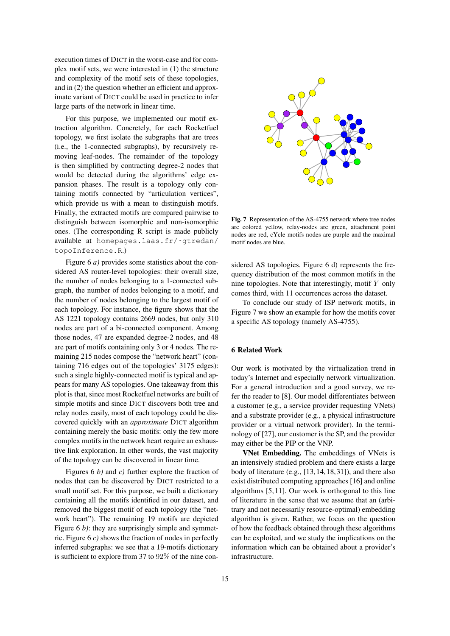execution times of DICT in the worst-case and for complex motif sets, we were interested in (1) the structure and complexity of the motif sets of these topologies, and in (2) the question whether an efficient and approximate variant of DICT could be used in practice to infer large parts of the network in linear time.

For this purpose, we implemented our motif extraction algorithm. Concretely, for each Rocketfuel topology, we first isolate the subgraphs that are trees (i.e., the 1-connected subgraphs), by recursively removing leaf-nodes. The remainder of the topology is then simplified by contracting degree-2 nodes that would be detected during the algorithms' edge expansion phases. The result is a topology only containing motifs connected by "articulation vertices", which provide us with a mean to distinguish motifs. Finally, the extracted motifs are compared pairwise to distinguish between isomorphic and non-isomorphic ones. (The corresponding R script is made publicly available at homepages.laas.fr/˜gtredan/ topoInference.R.)

Figure 6 *a)* provides some statistics about the considered AS router-level topologies: their overall size, the number of nodes belonging to a 1-connected subgraph, the number of nodes belonging to a motif, and the number of nodes belonging to the largest motif of each topology. For instance, the figure shows that the AS 1221 topology contains 2669 nodes, but only 310 nodes are part of a bi-connected component. Among those nodes, 47 are expanded degree-2 nodes, and 48 are part of motifs containing only 3 or 4 nodes. The remaining 215 nodes compose the "network heart" (containing 716 edges out of the topologies' 3175 edges): such a single highly-connected motif is typical and appears for many AS topologies. One takeaway from this plot is that, since most Rocketfuel networks are built of simple motifs and since DICT discovers both tree and relay nodes easily, most of each topology could be discovered quickly with an *approximate* DICT algorithm containing merely the basic motifs: only the few more complex motifs in the network heart require an exhaustive link exploration. In other words, the vast majority of the topology can be discovered in linear time.

Figures 6 *b)* and *c)* further explore the fraction of nodes that can be discovered by DICT restricted to a small motif set. For this purpose, we built a dictionary containing all the motifs identified in our dataset, and removed the biggest motif of each topology (the "network heart"). The remaining 19 motifs are depicted Figure 6 *b*): they are surprisingly simple and symmetric. Figure 6 *c)* shows the fraction of nodes in perfectly inferred subgraphs: we see that a 19-motifs dictionary is sufficient to explore from 37 to 92% of the nine con-



Fig. 7 Representation of the AS-4755 network where tree nodes are colored yellow, relay-nodes are green, attachment point nodes are red, cYcle motifs nodes are purple and the maximal motif nodes are blue.

sidered AS topologies. Figure 6 d) represents the frequency distribution of the most common motifs in the nine topologies. Note that interestingly, motif Y only comes third, with 11 occurrences across the dataset.

To conclude our study of ISP network motifs, in Figure 7 we show an example for how the motifs cover a specific AS topology (namely AS-4755).

#### 6 Related Work

Our work is motivated by the virtualization trend in today's Internet and especially network virtualization. For a general introduction and a good survey, we refer the reader to [8]. Our model differentiates between a customer (e.g., a service provider requesting VNets) and a substrate provider (e.g., a physical infrastructure provider or a virtual network provider). In the terminology of [27], our customer is the SP, and the provider may either be the PIP or the VNP.

VNet Embedding. The embeddings of VNets is an intensively studied problem and there exists a large body of literature (e.g., [13, 14, 18, 31]), and there also exist distributed computing approaches [16] and online algorithms [5, 11]. Our work is orthogonal to this line of literature in the sense that we assume that an (arbitrary and not necessarily resource-optimal) embedding algorithm is given. Rather, we focus on the question of how the feedback obtained through these algorithms can be exploited, and we study the implications on the information which can be obtained about a provider's infrastructure.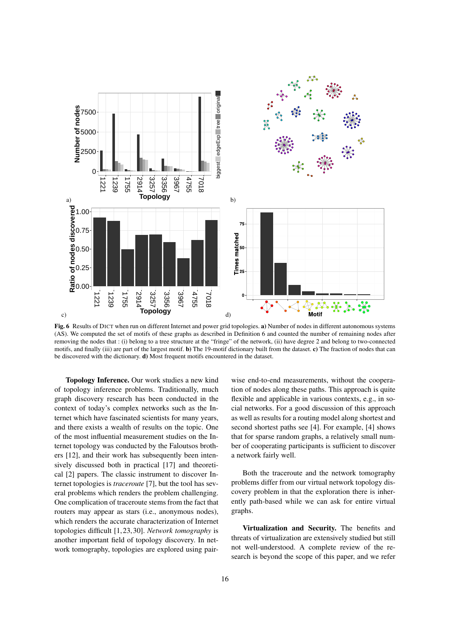

Fig. 6 Results of DICT when run on different Internet and power grid topologies. a) Number of nodes in different autonomous systems (AS). We computed the set of motifs of these graphs as described in Definition 6 and counted the number of remaining nodes after removing the nodes that : (i) belong to a tree structure at the "fringe" of the network, (ii) have degree 2 and belong to two-connected motifs, and finally (iii) are part of the largest motif. **b**) The 19-motif dictionary built from the dataset. **c**) The fraction of nodes that can be discovered with the dictionary. d) Most frequent motifs encountered in the dataset.

Topology Inference. Our work studies a new kind of topology inference problems. Traditionally, much graph discovery research has been conducted in the context of today's complex networks such as the Internet which have fascinated scientists for many years, and there exists a wealth of results on the topic. One of the most influential measurement studies on the Internet topology was conducted by the Faloutsos brothers [12], and their work has subsequently been intensively discussed both in practical [17] and theoretical [2] papers. The classic instrument to discover Internet topologies is *traceroute* [7], but the tool has several problems which renders the problem challenging. One complication of traceroute stems from the fact that routers may appear as stars (i.e., anonymous nodes), which renders the accurate characterization of Internet topologies difficult [1, 23, 30]. *Network tomography* is another important field of topology discovery. In network tomography, topologies are explored using pairwise end-to-end measurements, without the cooperation of nodes along these paths. This approach is quite flexible and applicable in various contexts, e.g., in social networks. For a good discussion of this approach as well as results for a routing model along shortest and second shortest paths see [4]. For example, [4] shows that for sparse random graphs, a relatively small number of cooperating participants is sufficient to discover a network fairly well.

Both the traceroute and the network tomography problems differ from our virtual network topology discovery problem in that the exploration there is inherently path-based while we can ask for entire virtual graphs.

Virtualization and Security. The benefits and threats of virtualization are extensively studied but still not well-understood. A complete review of the research is beyond the scope of this paper, and we refer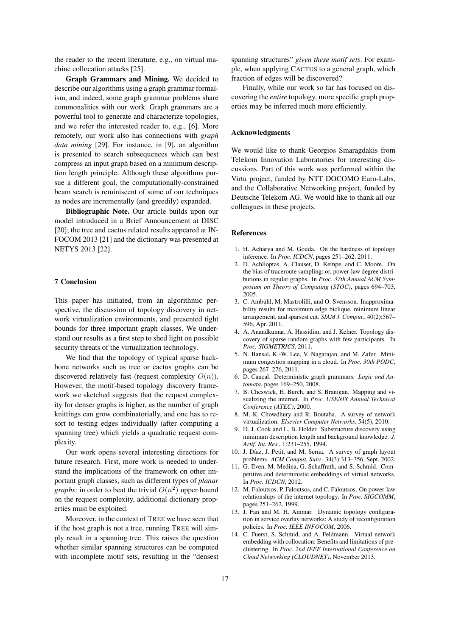the reader to the recent literature, e.g., on virtual machine collocation attacks [25].

Graph Grammars and Mining. We decided to describe our algorithms using a graph grammar formalism, and indeed, some graph grammar problems share commonalities with our work. Graph grammars are a powerful tool to generate and characterize topologies, and we refer the interested reader to, e.g., [6]. More remotely, our work also has connections with *graph data mining* [29]. For instance, in [9], an algorithm is presented to search subsequences which can best compress an input graph based on a minimum description length principle. Although these algorithms pursue a different goal, the computationally-constrained beam search is reminiscent of some of our techniques as nodes are incrementally (and greedily) expanded.

Bibliographic Note. Our article builds upon our model introduced in a Brief Announcement at DISC [20]; the tree and cactus related results appeared at IN-FOCOM 2013 [21] and the dictionary was presented at NETYS 2013 [22].

## 7 Conclusion

This paper has initiated, from an algorithmic perspective, the discussion of topology discovery in network virtualization environments, and presented tight bounds for three important graph classes. We understand our results as a first step to shed light on possible security threats of the virtualization technology.

We find that the topology of typical sparse backbone networks such as tree or cactus graphs can be discovered relatively fast (request complexity  $O(n)$ ). However, the motif-based topology discovery framework we sketched suggests that the request complexity for denser graphs is higher, as the number of graph knittings can grow combinatorially, and one has to resort to testing edges individually (after computing a spanning tree) which yields a quadratic request complexity.

Our work opens several interesting directions for future research. First, more work is needed to understand the implications of the framework on other important graph classes, such as different types of *planar graphs*: in order to beat the trivial  $O(n^2)$  upper bound on the request complexity, additional dictionary properties must be exploited.

Moreover, in the context of TREE we have seen that if the host graph is not a tree, running TREE will simply result in a spanning tree. This raises the question whether similar spanning structures can be computed with incomplete motif sets, resulting in the "densest spanning structures" *given these motif sets*. For example, when applying CACTUS to a general graph, which fraction of edges will be discovered?

Finally, while our work so far has focused on discovering the *entire* topology, more specific graph properties may be inferred much more efficiently.

## Acknowledgments

We would like to thank Georgios Smaragdakis from Telekom Innovation Laboratories for interesting discussions. Part of this work was performed within the Virtu project, funded by NTT DOCOMO Euro-Labs, and the Collaborative Networking project, funded by Deutsche Telekom AG. We would like to thank all our colleagues in these projects.

#### References

- 1. H. Acharya and M. Gouda. On the hardness of topology inference. In *Proc. ICDCN*, pages 251–262, 2011.
- 2. D. Achlioptas, A. Clauset, D. Kempe, and C. Moore. On the bias of traceroute sampling: or, power-law degree distributions in regular graphs. In *Proc. 37th Annual ACM Symposium on Theory of Computing (STOC)*, pages 694–703, 2005.
- 3. C. Ambühl, M. Mastrolilli, and O. Svensson. Inapproximability results for maximum edge biclique, minimum linear arrangement, and sparsest cut. *SIAM J. Comput.*, 40(2):567– 596, Apr. 2011.
- 4. A. Anandkumar, A. Hassidim, and J. Kelner. Topology discovery of sparse random graphs with few participants. In *Proc. SIGMETRICS*, 2011.
- 5. N. Bansal, K.-W. Lee, V. Nagarajan, and M. Zafer. Minimum congestion mapping in a cloud. In *Proc. 30th PODC*, pages 267–276, 2011.
- 6. D. Caucal. Deterministic graph grammars. *Logic and Automata*, pages 169–250, 2008.
- 7. B. Cheswick, H. Burch, and S. Branigan. Mapping and visualizing the internet. In *Proc. USENIX Annual Technical Conference (ATEC)*, 2000.
- 8. M. K. Chowdhury and R. Boutaba. A survey of network virtualization. *Elsevier Computer Networks*, 54(5), 2010.
- 9. D. J. Cook and L. B. Holder. Substructure discovery using minimum description length and background knowledge. *J. Artif. Int. Res.*, 1:231–255, 1994.
- 10. J. Díaz, J. Petit, and M. Serna. A survey of graph layout problems. *ACM Comput. Surv.*, 34(3):313–356, Sept. 2002.
- 11. G. Even, M. Medina, G. Schaffrath, and S. Schmid. Competitive and deterministic embeddings of virtual networks. In *Proc. ICDCN*, 2012.
- 12. M. Faloutsos, P. Faloutsos, and C. Faloutsos. On power-law relationships of the internet topology. In *Proc. SIGCOMM*, pages 251–262, 1999.
- 13. J. Fan and M. H. Ammar. Dynamic topology configuration in service overlay networks: A study of reconfiguration policies. In *Proc. IEEE INFOCOM*, 2006.
- 14. C. Fuerst, S. Schmid, and A. Feldmann. Virtual network embedding with collocation: Benefits and limitations of preclustering. In *Proc. 2nd IEEE International Conference on Cloud Networking (CLOUDNET)*, November 2013.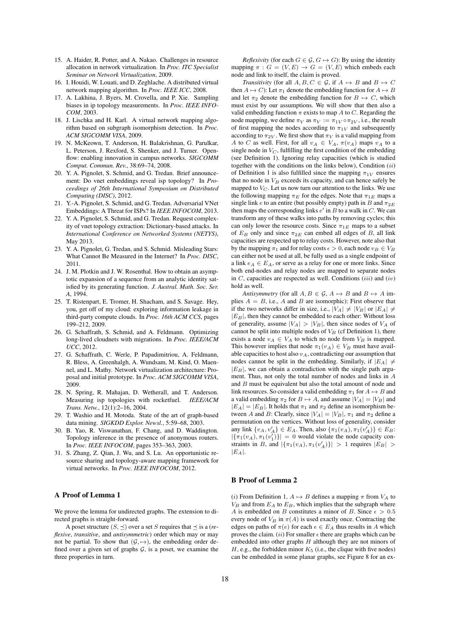- 15. A. Haider, R. Potter, and A. Nakao. Challenges in resource allocation in network virtualization. In *Proc. ITC Specialist Seminar on Network Virtualization*, 2009.
- 16. I. Houidi, W. Louati, and D. Zeghlache. A distributed virtual network mapping algorithm. In *Proc. IEEE ICC*, 2008.
- 17. A. Lakhina, J. Byers, M. Crovella, and P. Xie. Sampling biases in ip topology measurements. In *Proc. IEEE INFO-COM*, 2003.
- 18. J. Lischka and H. Karl. A virtual network mapping algorithm based on subgraph isomorphism detection. In *Proc. ACM SIGCOMM VISA*, 2009.
- 19. N. McKeown, T. Anderson, H. Balakrishnan, G. Parulkar, L. Peterson, J. Rexford, S. Shenker, and J. Turner. Openflow: enabling innovation in campus networks. *SIGCOMM Comput. Commun. Rev.*, 38:69–74, 2008.
- 20. Y. A. Pignolet, S. Schmid, and G. Tredan. Brief announcement: Do vnet embeddings reveal isp topology? In *Proceedings of 26th International Symposium on Distributed Computing (DISC)*, 2012.
- 21. Y.-A. Pignolet, S. Schmid, and G. Tredan. Adversarial VNet Embeddings: A Threat for ISPs? In *IEEE INFOCOM*, 2013.
- 22. Y. A. Pignolet, S. Schmid, and G. Tredan. Request complexity of vnet topology extraction: Dictionary-based attacks. In *International Conference on Networked Systems (NETYS)*, May 2013.
- 23. Y. A. Pignolet, G. Tredan, and S. Schmid. Misleading Stars: What Cannot Be Measured in the Internet? In *Proc. DISC*, 2011.
- 24. J. M. Plotkin and J. W. Rosenthal. How to obtain an asymptotic expansion of a sequence from an analytic identity satisfied by its generating function. *J. Austral. Math. Soc. Ser. A*, 1994.
- 25. T. Ristenpart, E. Tromer, H. Shacham, and S. Savage. Hey, you, get off of my cloud: exploring information leakage in third-party compute clouds. In *Proc. 16th ACM CCS*, pages 199–212, 2009.
- 26. G. Schaffrath, S. Schmid, and A. Feldmann. Optimizing long-lived cloudnets with migrations. In *Proc. IEEE/ACM UCC*, 2012.
- 27. G. Schaffrath, C. Werle, P. Papadimitriou, A. Feldmann, R. Bless, A. Greenhalgh, A. Wundsam, M. Kind, O. Maennel, and L. Mathy. Network virtualization architecture: Proposal and initial prototype. In *Proc. ACM SIGCOMM VISA*, 2009.
- 28. N. Spring, R. Mahajan, D. Wetherall, and T. Anderson. Measuring isp topologies with rocketfuel. *IEEE/ACM Trans. Netw.*, 12(1):2–16, 2004.
- 29. T. Washio and H. Motoda. State of the art of graph-based data mining. *SIGKDD Explor. Newsl.*, 5:59–68, 2003.
- 30. B. Yao, R. Viswanathan, F. Chang, and D. Waddington. Topology inference in the presence of anonymous routers. In *Proc. IEEE INFOCOM*, pages 353–363, 2003.
- 31. S. Zhang, Z. Qian, J. Wu, and S. Lu. An opportunistic resource sharing and topology-aware mapping framework for virtual networks. In *Proc. IEEE INFOCOM*, 2012.

#### A Proof of Lemma 1

We prove the lemma for undirected graphs. The extension to directed graphs is straight-forward.

A poset structure  $(S, \preceq)$  over a set S requires that  $\preceq$  is a (*reflexive*, *transitive*, and *antisymmetric*) order which may or may not be partial. To show that  $(G, \rightarrow)$ , the embedding order defined over a given set of graphs  $G$ , is a poset, we examine the three properties in turn.

*Reflexivity* (for each  $G \in \mathcal{G}, G \mapsto G$ ): By using the identity mapping  $\pi : G = (V, E) \rightarrow G = (V, E)$  which embeds each node and link to itself, the claim is proved.

*Transitivity* (for all  $A, B, C \in \mathcal{G}$ , if  $A \mapsto B$  and  $B \mapsto C$ then  $A \mapsto C$ : Let  $\pi_1$  denote the embedding function for  $A \mapsto B$ and let  $\pi_2$  denote the embedding function for  $B \mapsto C$ , which must exist by our assumptions. We will show that then also a valid embedding function  $\pi$  exists to map A to C. Regarding the node mapping, we define  $\pi_V$  as  $\pi_V := \pi_{1V} \circ \pi_{2V}$ , i.e., the result of first mapping the nodes according to  $\pi_{1V}$  and subsequently according to  $\pi_{2V}$ . We first show that  $\pi_V$  is a valid mapping from A to C as well. First, for all  $v_A \in V_A$ ,  $\pi(v_A)$  maps  $v_A$  to a single node in  $V_C$ , fulfilling the first condition of the embedding (see Definition 1). Ignoring relay capacities (which is studied together with the conditions on the links below), Condition  $(ii)$ of Definition 1 is also fulfilled since the mapping  $\pi_{1V}$  ensures that no node in  $V_B$  exceeds its capacity, and can hence safely be mapped to  $V_C$ . Let us now turn our attention to the links. We use the following mapping  $\pi_E$  for the edges. Note that  $\pi_{1E}$  maps a single link e to an entire (but possibly empty) path in B and  $\pi_{2E}$ then maps the corresponding links  $e'$  in  $B$  to a walk in  $C$ . We can transform any of these walks into paths by removing cycles; this can only lower the resource costs. Since  $\pi_{1E}$  maps to a subset of  $E_B$  only and since  $\pi_{2E}$  can embed all edges of B, all link capacities are respected up to relay costs. However, note also that by the mapping  $\pi_1$  and for relay costs  $\epsilon > 0$ , each node  $v_B \in V_B$ can either not be used at all, be fully used as a single endpoint of a link  $e_A \in E_A$ , or serve as a relay for one or more links. Since both end-nodes and relay nodes are mapped to separate nodes in  $C$ , capacities are respected as well. Conditions (iii) and (iv) hold as well.

*Antisymmetry* (for all  $A, B \in \mathcal{G}, A \mapsto B$  and  $B \mapsto A$  implies  $A = B$ , i.e., A and B are isomorphic): First observe that if the two networks differ in size, i.e.,  $|V_A| \neq |V_B|$  or  $|E_A| \neq$  $|E_B|$ , then they cannot be embedded to each other: Without loss of generality, assume  $|V_A| > |V_B|$ , then since nodes of  $V_A$  of cannot be split into multiple nodes of  $V_B$  (cf Definition 1), there exists a node  $v_A \in V_A$  to which no node from  $V_B$  is mapped. This however implies that node  $\pi_1(v_A) \in V_B$  must have available capacities to host also  $v_A$ , contradicting our assumption that nodes cannot be split in the embedding. Similarly, if  $|E_A| \neq$  $|E_B|$ , we can obtain a contradiction with the single path argument. Thus, not only the total number of nodes and links in A and B must be equivalent but also the total amount of node and link resources. So consider a valid embedding  $\pi_1$  for  $A \mapsto B$  and a valid embedding  $\pi_2$  for  $B \mapsto A$ , and assume  $|V_A| = |V_B|$  and  $|E_A| = |E_B|$ . It holds that  $\pi_1$  and  $\pi_2$  define an isomorphism between A and B: Clearly, since  $|V_A| = |V_B|$ ,  $\pi_1$  and  $\pi_2$  define a permutation on the vertices. Without loss of generality, consider any link  $\{v_A, v'_A\} \in E_A$ . Then, also  $\{\pi_1(v_A), \pi_1(v'_A)\} \in E_B$ :  $|\{\pi_1(v_A), \pi_1(v_1')\}| = 0$  would violate the node capacity constraints in B, and  $|\{\pi_1(v_A), \pi_1(v'_A)\}| > 1$  requires  $|E_B| > 1$  $|E_A|$ .

#### B Proof of Lemma 2

(i) From Definition 1,  $A \mapsto B$  defines a mapping  $\pi$  from  $V_A$  to  $V_B$  and from  $E_A$  to  $E_B$ , which implies that the subgraph where A is embedded on B constitutes a minor of B. Since  $\epsilon > 0.5$ every node of  $V_B$  in  $\pi(A)$  is used exactly once. Contracting the edges on paths of  $\pi(e)$  for each  $e \in E_A$  thus results in A which proves the claim. (*ii*) For smaller  $\epsilon$  there are graphs which can be embedded into other graphs  $H$  although they are not minors of  $H$ , e.g., the forbidden minor  $K_5$  (i.e., the clique with five nodes) can be embedded in some planar graphs, see Figure 8 for an ex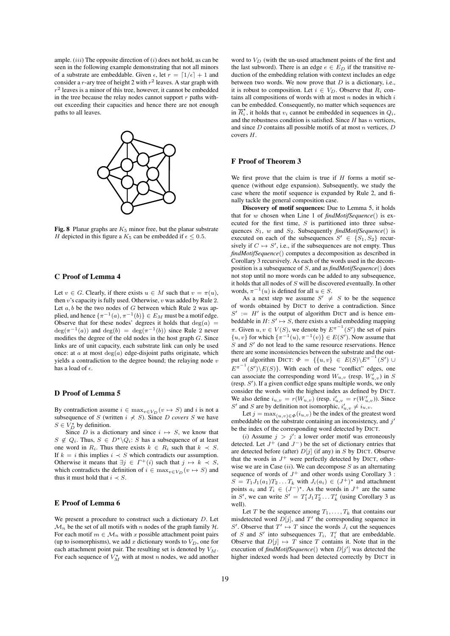ample.  $(iii)$  The opposite direction of  $(i)$  does not hold, as can be seen in the following example demonstrating that not all minors of a substrate are embeddable. Given  $\epsilon$ , let  $r = \lfloor 1/\epsilon \rfloor + 1$  and consider a *r*-ary tree of height 2 with  $r^2$  leaves. A star graph with  $r<sup>2</sup>$  leaves is a minor of this tree, however, it cannot be embedded in the tree because the relay nodes cannot support  $r$  paths without exceeding their capacities and hence there are not enough paths to all leaves.



Fig. 8 Planar graphs are  $K_5$  minor free, but the planar substrate H depicted in this figure a  $K_5$  can be embedded if  $\epsilon \leq 0.5$ .

#### C Proof of Lemma 4

Let  $v \in G$ . Clearly, if there exists  $u \in M$  such that  $v = \pi(u)$ , then  $v$ 's capacity is fully used. Otherwise,  $v$  was added by Rule 2. Let  $a, b$  be the two nodes of  $G$  between which Rule 2 was applied, and hence  $\{\pi^{-1}(a), \pi^{-1}(b)\}\in E_M$  must be a motif edge. Observe that for these nodes' degrees it holds that  $deg(a)$  =  $deg(\pi^{-1}(a))$  and  $deg(b) = deg(\pi^{-1}(b))$  since Rule 2 never modifies the degree of the old nodes in the host graph G. Since links are of unit capacity, each substrate link can only be used once: at a at most  $deg(a)$  edge-disjoint paths originate, which yields a contradiction to the degree bound; the relaying node  $v$ has a load of  $\epsilon$ .

#### D Proof of Lemma 5

By contradiction assume  $i \in \max_{v \in V_D} (v \mapsto S)$  and i is not a subsequence of S (written  $i \nless S$ ). Since D covers S we have  $S \in V_D^\star$  by definition.

Since D is a dictionary and since  $i \mapsto S$ , we know that  $S \notin Q_i$ . Thus,  $S \in D^* \backslash Q_i$ : S has a subsequence of at least one word in  $R_i$ . Thus there exists  $k \in R_i$  such that  $k \prec S$ . If  $k = i$  this implies  $i \prec S$  which contradicts our assumption. Otherwise it means that  $\exists j \in \Gamma^+(i)$  such that  $j \mapsto k \prec S$ , which contradicts the definition of  $i \in \max_{v \in V_D} (v \mapsto S)$  and thus it must hold that  $i \prec S$ .

## E Proof of Lemma 6

We present a procedure to construct such a dictionary D. Let  $\mathcal{M}_n$  be the set of all motifs with n nodes of the graph family  $\mathcal{H}$ . For each motif  $m \in \mathcal{M}_n$  with x possible attachment point pairs (up to isomorphisms), we add x dictionary words to  $V_D$ , one for each attachment point pair. The resulting set is denoted by  $V_M$ . For each sequence of  $V_M^*$  with at most n nodes, we add another

word to  $V_D$  (with the un-used attachment points of the first and the last subword). There is an edge  $e \in E_D$  if the transitive reduction of the embedding relation with context includes an edge between two words. We now prove that  $D$  is a dictionary, i.e., it is robust to composition. Let  $i \in V_D$ . Observe that  $R_i$  contains all compositions of words with at most  $n$  nodes in which  $i$ can be embedded. Consequently, no matter which sequences are in  $\overline{R}_i^*$ , it holds that  $v_i$  cannot be embedded in sequences in  $Q_i$ , and the robustness condition is satisfied. Since  $H$  has  $n$  vertices, and since  $D$  contains all possible motifs of at most  $n$  vertices,  $D$ covers H.

## F Proof of Theorem 3

We first prove that the claim is true if  $H$  forms a motif sequence (without edge expansion). Subsequently, we study the case where the motif sequence is expanded by Rule 2, and finally tackle the general composition case.

Discovery of motif sequences: Due to Lemma 5, it holds that for w chosen when Line 1 of *findMotifSequence*() is executed for the first time,  $S$  is partitioned into three subsequences  $S_1$ , w and  $S_2$ . Subsequently *findMotifSequence*() is executed on each of the subsequences  $S' \in \{S_1, S_2\}$  recursively if  $C \mapsto S'$ , i.e., if the subsequences are not empty. Thus *findMotifSequence*() computes a decomposition as described in Corollary 3 recursively. As each of the words used in the decomposition is a subsequence of S, and as *findMotifSequence*() does not stop until no more words can be added to any subsequence, it holds that all nodes of S will be discovered eventually. In other words,  $\pi^{-1}(u)$  is defined for all  $u \in S$ .

As a next step we assume  $S' \neq S$  to be the sequence of words obtained by DICT to derive a contradiction. Since  $S' := H'$  is the output of algorithm DICT and is hence embeddable in  $H: S' \mapsto S$ , there exists a valid embedding mapping π. Given  $u, v \in V(S)$ , we denote by  $E^{\pi^{-1}}(S')$  the set of pairs  $\{u, v\}$  for which  $\{\pi^{-1}(u), \pi^{-1}(v)\}\in E(S')$ . Now assume that  $S$  and  $S'$  do not lead to the same resource reservations. Hence there are some inconsistencies between the substrate and the output of algorithm DICT:  $\Phi = \{ \{u, v\} \in E(S) \backslash E^{\pi^{-1}}(S') \cup$  $E^{\pi^{-1}}(S')\backslash E(S)$ . With each of these "conflict" edges, one can associate the corresponding word  $W_{u,v}$  (resp.  $W'_{u,v}$ ) in S (resp. S'). If a given conflict edge spans multiple words, we only consider the words with the highest index as defined by DICT. We also define  $i_{u,v} = r(W_{u,v})$  (resp.  $i'_{u,v} = r(W'_{u,v})$ ). Since S' and S are by definition not isomorphic,  $i'_{u,v} \neq i_{u,v}$ .

Let  $j = \max_{(u,v) \in \Phi} (i_{u,v})$  be the index of the greatest word embeddable on the substrate containing an inconsistency, and  $j'$ be the index of the corresponding word detected by DICT.

(i) Assume  $j > j'$ : a lower order motif was erroneously detected. Let  $J^{+}$  (and  $J^{-}$ ) be the set of dictionary entries that are detected before (after)  $D[i]$  (if any) in S by DICT. Observe that the words in  $J^+$  were perfectly detected by DICT, otherwise we are in Case  $(ii)$ . We can decompose S as an alternating sequence of words of  $J^+$  and other words using Corollary 3 :  $S = T_1 J_1(a_1) T_2 \dots T_k$  with  $J_i(a_i) \in (J^+)^*$  and attachment points  $a_i$  and  $T_i \in (J^-)^{\star}$ . As the words in  $J^+$  are the same in S', we can write  $S' = T'_1 J_1 T'_2 \dots T'_k$  (using Corollary 3 as well).

Let T be the sequence among  $T_1, \ldots, T_k$  that contains our misdetected word  $D[j]$ , and  $T'$  the corresponding sequence in S'. Observe that  $T' \mapsto T$  since the words  $J_i$  cut the sequences of S and S' into subsequences  $T_i$ ,  $T'_i$  that are embeddable. Observe that  $D[j] \mapsto T$  since T contains it. Note that in the execution of  $findMotifSequence()$  when  $D[j']$  was detected the higher indexed words had been detected correctly by DICT in